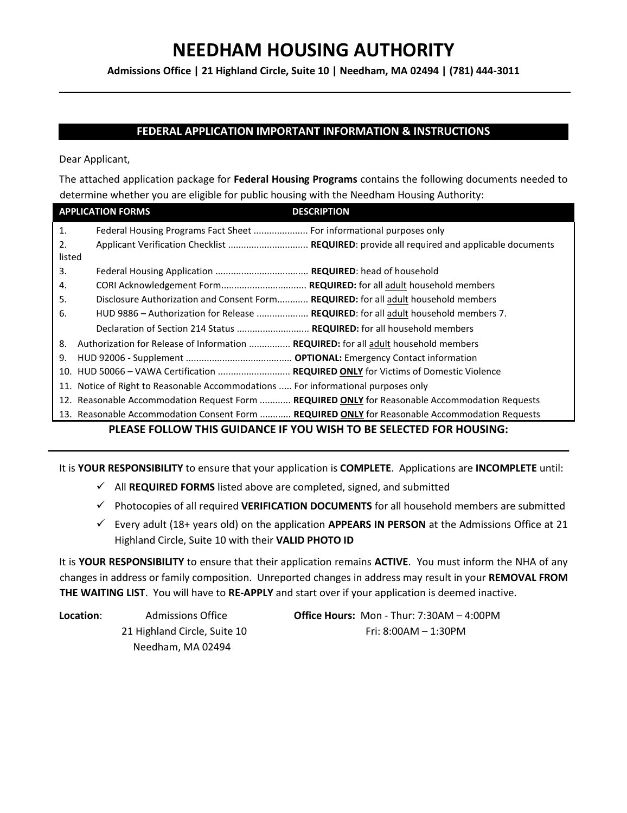**Admissions Office | 21 Highland Circle, Suite 10 | Needham, MA 02494 | (781) 444-3011**

# **FEDERAL APPLICATION IMPORTANT INFORMATION & INSTRUCTIONS**

Dear Applicant,

The attached application package for **Federal Housing Programs** contains the following documents needed to determine whether you are eligible for public housing with the Needham Housing Authority:

|        | <b>APPLICATION FORMS</b><br><b>DESCRIPTION</b>                                                 |
|--------|------------------------------------------------------------------------------------------------|
| 1.     | Federal Housing Programs Fact Sheet  For informational purposes only                           |
| 2.     | Applicant Verification Checklist  REQUIRED: provide all required and applicable documents      |
| listed |                                                                                                |
| 3.     |                                                                                                |
| 4.     |                                                                                                |
| 5.     | Disclosure Authorization and Consent Form REQUIRED: for all adult household members            |
| 6.     | HUD 9886 - Authorization for Release  REQUIRED: for all adult household members 7.             |
|        | Declaration of Section 214 Status  REQUIRED: for all household members                         |
| 8.     | Authorization for Release of Information  REQUIRED: for all adult household members            |
| 9.     |                                                                                                |
|        | 10. HUD 50066 - VAWA Certification  REQUIRED ONLY for Victims of Domestic Violence             |
|        | 11. Notice of Right to Reasonable Accommodations  For informational purposes only              |
|        | 12. Reasonable Accommodation Request Form  REQUIRED ONLY for Reasonable Accommodation Requests |
|        | 13. Reasonable Accommodation Consent Form  REQUIRED ONLY for Reasonable Accommodation Requests |

# **PLEASE FOLLOW THIS GUIDANCE IF YOU WISH TO BE SELECTED FOR HOUSING:**

It is **YOUR RESPONSIBILITY** to ensure that your application is **COMPLETE**. Applications are **INCOMPLETE** until:

- ✓ All **REQUIRED FORMS** listed above are completed, signed, and submitted
- ✓ Photocopies of all required **VERIFICATION DOCUMENTS** for all household members are submitted
- ✓ Every adult (18+ years old) on the application **APPEARS IN PERSON** at the Admissions Office at 21 Highland Circle, Suite 10 with their **VALID PHOTO ID**

It is **YOUR RESPONSIBILITY** to ensure that their application remains **ACTIVE**. You must inform the NHA of any changes in address or family composition. Unreported changes in address may result in your **REMOVAL FROM THE WAITING LIST**. You will have to **RE-APPLY** and start over if your application is deemed inactive.

Needham, MA 02494

**Location**: Admissions Office **Office Hours:** Mon - Thur: 7:30AM – 4:00PM 21 Highland Circle, Suite 10 Fri: 8:00AM – 1:30PM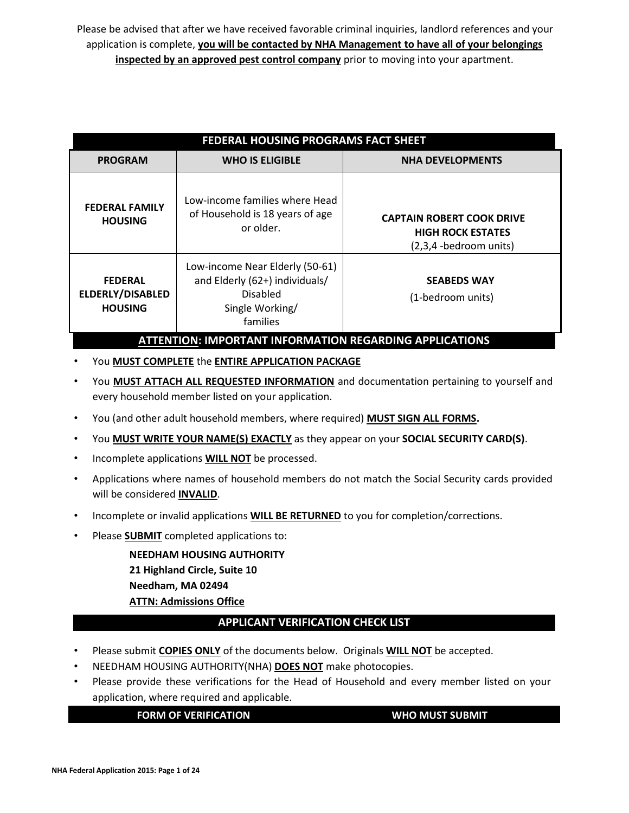Please be advised that after we have received favorable criminal inquiries, landlord references and your application is complete, **you will be contacted by NHA Management to have all of your belongings inspected by an approved pest control company** prior to moving into your apartment.

|                                                             | FEDERAL HOUSING PROGRAMS FACT SHEET                                                                          |                                                                                                  |  |  |  |  |  |  |
|-------------------------------------------------------------|--------------------------------------------------------------------------------------------------------------|--------------------------------------------------------------------------------------------------|--|--|--|--|--|--|
| <b>PROGRAM</b>                                              | <b>WHO IS ELIGIBLE</b>                                                                                       | <b>NHA DEVELOPMENTS</b>                                                                          |  |  |  |  |  |  |
| <b>FEDERAL FAMILY</b><br><b>HOUSING</b>                     | Low-income families where Head<br>of Household is 18 years of age<br>or older.                               | <b>CAPTAIN ROBERT COOK DRIVE</b><br><b>HIGH ROCK ESTATES</b><br>$(2,3,4 - \text{bedroom units})$ |  |  |  |  |  |  |
| <b>FEDERAL</b><br><b>ELDERLY/DISABLED</b><br><b>HOUSING</b> | Low-income Near Elderly (50-61)<br>and Elderly (62+) individuals/<br>Disabled<br>Single Working/<br>families | <b>SEABEDS WAY</b><br>(1-bedroom units)                                                          |  |  |  |  |  |  |
|                                                             | <b>ATTENTION: IMPORTANT INFORMATION REGARDING APPLICATIONS</b>                                               |                                                                                                  |  |  |  |  |  |  |

### • You **MUST COMPLETE** the **ENTIRE APPLICATION PACKAGE**

- You **MUST ATTACH ALL REQUESTED INFORMATION** and documentation pertaining to yourself and every household member listed on your application.
- You (and other adult household members, where required) **MUST SIGN ALL FORMS.**
- You **MUST WRITE YOUR NAME(S) EXACTLY** as they appear on your **SOCIAL SECURITY CARD(S)**.
- Incomplete applications **WILL NOT** be processed.
- Applications where names of household members do not match the Social Security cards provided will be considered **INVALID**.
- Incomplete or invalid applications **WILL BE RETURNED** to you for completion/corrections.
- Please **SUBMIT** completed applications to:

**NEEDHAM HOUSING AUTHORITY 21 Highland Circle, Suite 10 Needham, MA 02494 ATTN: Admissions Office**

# **APPLICANT VERIFICATION CHECK LIST**

- Please submit **COPIES ONLY** of the documents below.Originals **WILL NOT** be accepted.
- NEEDHAM HOUSING AUTHORITY(NHA) **DOES NOT** make photocopies.
- Please provide these verifications for the Head of Household and every member listed on your application, where required and applicable.

**FORM OF VERIFICATION WHO MUST SUBMIT**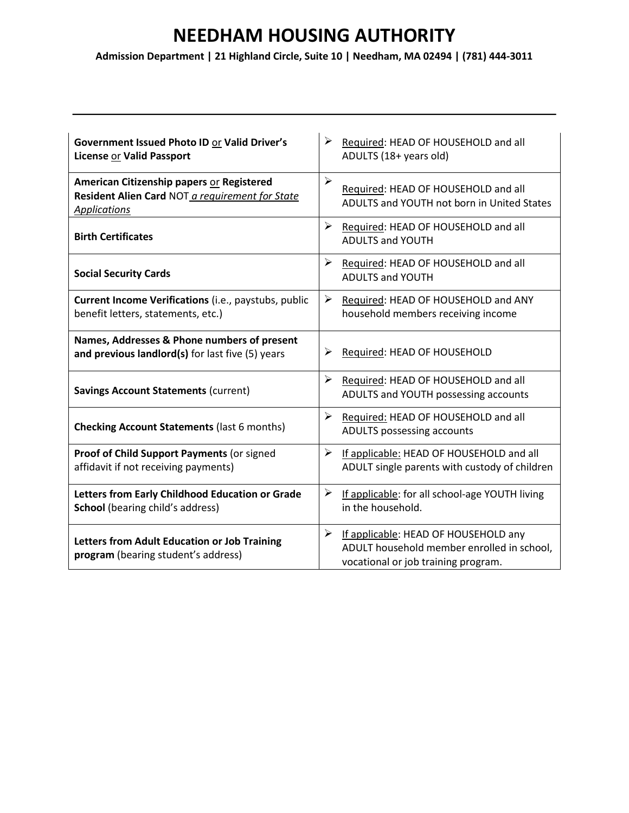**Admission Department | 21 Highland Circle, Suite 10 | Needham, MA 02494 | (781) 444-3011** 

| Government Issued Photo ID or Valid Driver's<br><b>License or Valid Passport</b>                                    | ➤<br>Required: HEAD OF HOUSEHOLD and all<br>ADULTS (18+ years old)                                                             |
|---------------------------------------------------------------------------------------------------------------------|--------------------------------------------------------------------------------------------------------------------------------|
| American Citizenship papers or Registered<br>Resident Alien Card NOT a requirement for State<br><b>Applications</b> | ➤<br>Required: HEAD OF HOUSEHOLD and all<br>ADULTS and YOUTH not born in United States                                         |
| <b>Birth Certificates</b>                                                                                           | ≻<br>Required: HEAD OF HOUSEHOLD and all<br><b>ADULTS and YOUTH</b>                                                            |
| <b>Social Security Cards</b>                                                                                        | ➤<br>Required: HEAD OF HOUSEHOLD and all<br><b>ADULTS and YOUTH</b>                                                            |
| Current Income Verifications (i.e., paystubs, public<br>benefit letters, statements, etc.)                          | ➤<br>Required: HEAD OF HOUSEHOLD and ANY<br>household members receiving income                                                 |
| Names, Addresses & Phone numbers of present<br>and previous landlord(s) for last five (5) years                     | Required: HEAD OF HOUSEHOLD<br>➤                                                                                               |
| <b>Savings Account Statements (current)</b>                                                                         | $\blacktriangleright$<br>Required: HEAD OF HOUSEHOLD and all<br>ADULTS and YOUTH possessing accounts                           |
| <b>Checking Account Statements (last 6 months)</b>                                                                  | ➤<br>Required: HEAD OF HOUSEHOLD and all<br>ADULTS possessing accounts                                                         |
| Proof of Child Support Payments (or signed<br>affidavit if not receiving payments)                                  | ➤<br>If applicable: HEAD OF HOUSEHOLD and all<br>ADULT single parents with custody of children                                 |
| Letters from Early Childhood Education or Grade<br><b>School</b> (bearing child's address)                          | ➤<br>If applicable: for all school-age YOUTH living<br>in the household.                                                       |
| Letters from Adult Education or Job Training<br>program (bearing student's address)                                 | If applicable: HEAD OF HOUSEHOLD any<br>➤<br>ADULT household member enrolled in school,<br>vocational or job training program. |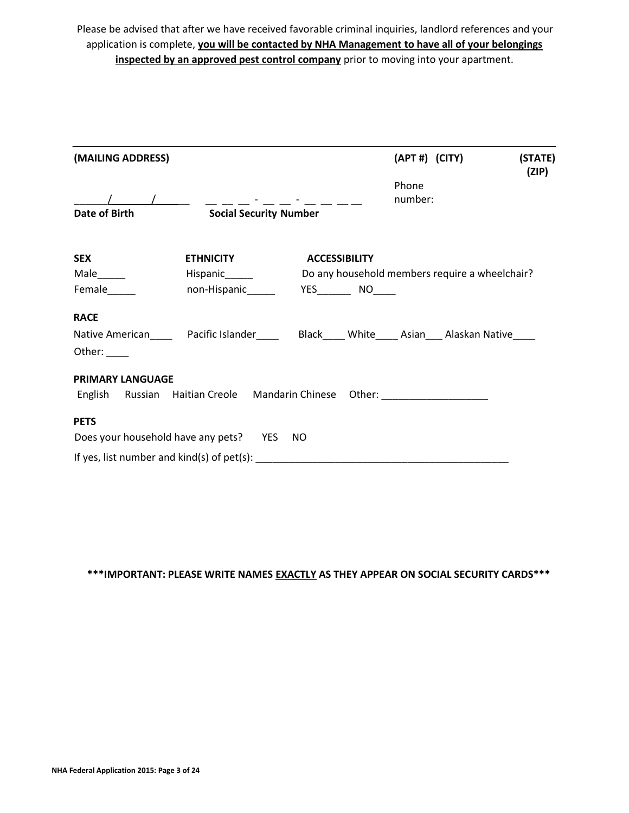Please be advised that after we have received favorable criminal inquiries, landlord references and your application is complete, **you will be contacted by NHA Management to have all of your belongings inspected by an approved pest control company** prior to moving into your apartment.

| (MAILING ADDRESS)       |                                                                                                    |                      | (APT #) (CITY) | (STATE)<br>(ZIP) |
|-------------------------|----------------------------------------------------------------------------------------------------|----------------------|----------------|------------------|
|                         |                                                                                                    |                      | Phone          |                  |
|                         |                                                                                                    |                      | number:        |                  |
| Date of Birth           | <b>Social Security Number</b>                                                                      |                      |                |                  |
| <b>SEX</b>              | <b>ETHNICITY</b>                                                                                   | <b>ACCESSIBILITY</b> |                |                  |
|                         |                                                                                                    |                      |                |                  |
| Female_____             |                                                                                                    |                      |                |                  |
| <b>RACE</b>             |                                                                                                    |                      |                |                  |
|                         | Native American_______ Pacific Islander_______ Black_____ White_____ Asian____ Alaskan Native_____ |                      |                |                  |
| Other: $\_\_$           |                                                                                                    |                      |                |                  |
| <b>PRIMARY LANGUAGE</b> |                                                                                                    |                      |                |                  |
|                         | English Russian Haitian Creole Mandarin Chinese Other: _________________________                   |                      |                |                  |
| <b>PETS</b>             |                                                                                                    |                      |                |                  |
|                         | Does your household have any pets? YES NO                                                          |                      |                |                  |
|                         |                                                                                                    |                      |                |                  |

**\*\*\*IMPORTANT: PLEASE WRITE NAMES EXACTLY AS THEY APPEAR ON SOCIAL SECURITY CARDS\*\*\***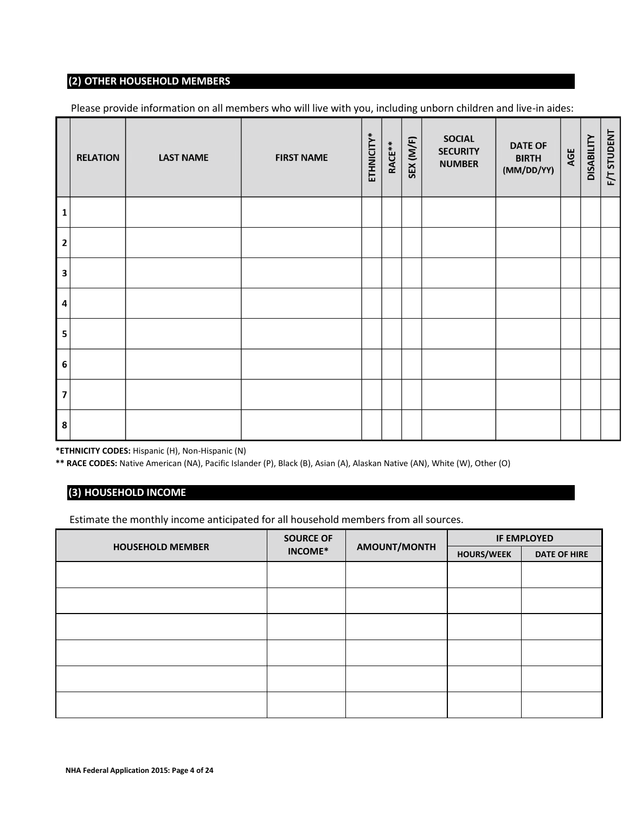# **(2) OTHER HOUSEHOLD MEMBERS**

Please provide information on all members who will live with you, including unborn children and live-in aides:

|                         | <b>RELATION</b> | <b>LAST NAME</b> | <b>FIRST NAME</b> | ETHNICITY* | RACE** | SEX (M/F) | <b>SOCIAL</b><br><b>SECURITY</b><br><b>NUMBER</b> | <b>DATE OF</b><br><b>BIRTH</b><br>(MM/DD/YY) | AGE | <b>DISABILITY</b> | F/T STUDENT |
|-------------------------|-----------------|------------------|-------------------|------------|--------|-----------|---------------------------------------------------|----------------------------------------------|-----|-------------------|-------------|
| $\mathbf{1}$            |                 |                  |                   |            |        |           |                                                   |                                              |     |                   |             |
| $\overline{2}$          |                 |                  |                   |            |        |           |                                                   |                                              |     |                   |             |
| $\overline{\mathbf{3}}$ |                 |                  |                   |            |        |           |                                                   |                                              |     |                   |             |
| $\overline{\mathbf{4}}$ |                 |                  |                   |            |        |           |                                                   |                                              |     |                   |             |
| $\overline{\mathbf{5}}$ |                 |                  |                   |            |        |           |                                                   |                                              |     |                   |             |
| $\boldsymbol{6}$        |                 |                  |                   |            |        |           |                                                   |                                              |     |                   |             |
| $\overline{\mathbf{z}}$ |                 |                  |                   |            |        |           |                                                   |                                              |     |                   |             |
| 8                       |                 |                  |                   |            |        |           |                                                   |                                              |     |                   |             |

**\*ETHNICITY CODES:** Hispanic (H), Non-Hispanic (N)

**\*\* RACE CODES:** Native American (NA), Pacific Islander (P), Black (B), Asian (A), Alaskan Native (AN), White (W), Other (O)

# **(3) HOUSEHOLD INCOME**

Estimate the monthly income anticipated for all household members from all sources.

|                         | <b>SOURCE OF</b> |              |                   | <b>IF EMPLOYED</b>  |
|-------------------------|------------------|--------------|-------------------|---------------------|
| <b>HOUSEHOLD MEMBER</b> | INCOME*          | AMOUNT/MONTH | <b>HOURS/WEEK</b> | <b>DATE OF HIRE</b> |
|                         |                  |              |                   |                     |
|                         |                  |              |                   |                     |
|                         |                  |              |                   |                     |
|                         |                  |              |                   |                     |
|                         |                  |              |                   |                     |
|                         |                  |              |                   |                     |
|                         |                  |              |                   |                     |
|                         |                  |              |                   |                     |
|                         |                  |              |                   |                     |
|                         |                  |              |                   |                     |
|                         |                  |              |                   |                     |
|                         |                  |              |                   |                     |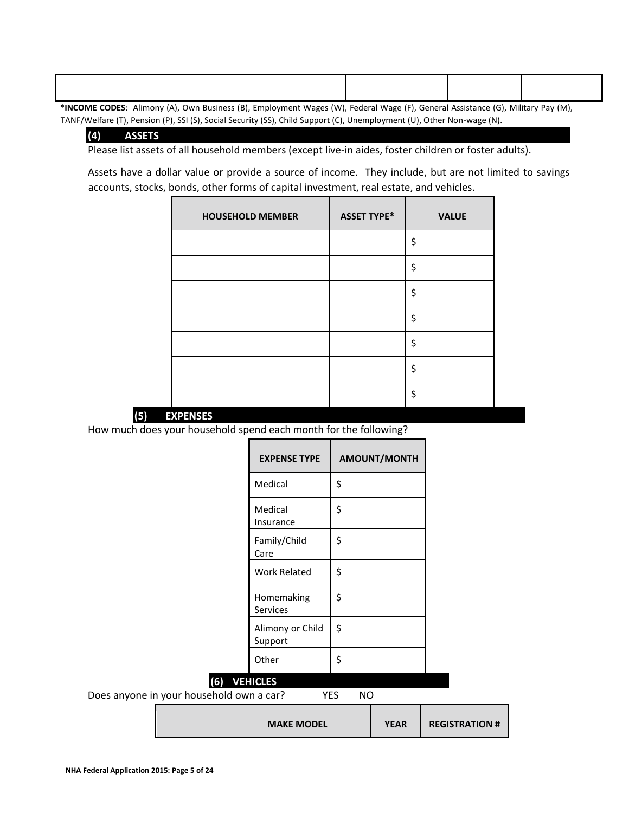| Alimony (A) Own Business (B) Employment Wages (W) Eederal Wage (E) Coneral Assistance (C) Military Bay (M)<br>$*$ INICOME CODEC $\cdot$ |  |  |
|-----------------------------------------------------------------------------------------------------------------------------------------|--|--|

**\*INCOME CODES**: Alimony (A), Own Business (B), Employment Wages (W), Federal Wage (F), General Assistance (G), Military Pay (M), TANF/Welfare (T), Pension (P), SSI (S), Social Security (SS), Child Support (C), Unemployment (U), Other Non-wage (N).

### **(4) ASSETS**

Please list assets of all household members (except live-in aides, foster children or foster adults).

Assets have a dollar value or provide a source of income. They include, but are not limited to savings accounts, stocks, bonds, other forms of capital investment, real estate, and vehicles.

| <b>HOUSEHOLD MEMBER</b> | <b>ASSET TYPE*</b> | <b>VALUE</b> |
|-------------------------|--------------------|--------------|
|                         |                    | \$           |
|                         |                    | \$           |
|                         |                    | \$           |
|                         |                    | \$           |
|                         |                    | \$           |
|                         |                    | \$           |
|                         |                    | \$           |



How much does your household spend each month for the following?

| <b>EXPENSE TYPE</b>         | <b>AMOUNT/MONTH</b> |
|-----------------------------|---------------------|
| Medical                     | \$                  |
| Medical<br>Insurance        | \$                  |
| Family/Child<br>Care        | \$                  |
| Work Related                | Ś                   |
| Homemaking<br>Services      | Ś                   |
| Alimony or Child<br>Support | Ś                   |
| Other                       | Ś                   |

# **(6) VEHICLES**

Does anyone in your household own a car? YES NO

|  | <b>MAKE MODEL</b> | YEAR | <b>REGISTRATION #</b> |
|--|-------------------|------|-----------------------|
|--|-------------------|------|-----------------------|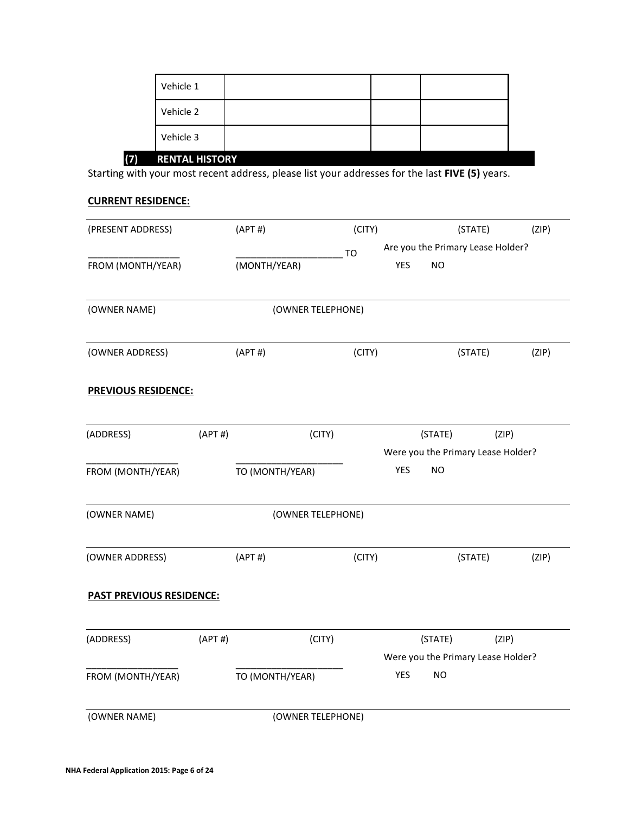| Vehicle 3 |  |
|-----------|--|
|           |  |
| Vehicle 2 |  |
| Vehicle 1 |  |

Starting with your most recent address, please list your addresses for the last **FIVE (5)** years.

### **CURRENT RESIDENCE:**

| (PRESENT ADDRESS)               |        | (APT#)          |                   | (CITY) |            |           | (STATE)                            | (ZIP) |
|---------------------------------|--------|-----------------|-------------------|--------|------------|-----------|------------------------------------|-------|
|                                 |        |                 | <b>TO</b>         |        |            |           | Are you the Primary Lease Holder?  |       |
| FROM (MONTH/YEAR)               |        | (MONTH/YEAR)    |                   |        | <b>YES</b> | <b>NO</b> |                                    |       |
| (OWNER NAME)                    |        |                 | (OWNER TELEPHONE) |        |            |           |                                    |       |
| (OWNER ADDRESS)                 |        | (APT#)          |                   | (CITY) |            |           | (STATE)                            | (ZIP) |
| <b>PREVIOUS RESIDENCE:</b>      |        |                 |                   |        |            |           |                                    |       |
| (ADDRESS)                       | (APT#) |                 | (CITY)            |        |            | (STATE)   |                                    | (ZIP) |
|                                 |        |                 |                   |        |            |           | Were you the Primary Lease Holder? |       |
| FROM (MONTH/YEAR)               |        | TO (MONTH/YEAR) |                   |        | <b>YES</b> | <b>NO</b> |                                    |       |
| (OWNER NAME)                    |        |                 | (OWNER TELEPHONE) |        |            |           |                                    |       |
| (OWNER ADDRESS)                 |        | (APT#)          |                   | (CITY) |            |           | (STATE)                            | (ZIP) |
| <b>PAST PREVIOUS RESIDENCE:</b> |        |                 |                   |        |            |           |                                    |       |
| (ADDRESS)                       | (APT#) |                 | (CITY)            |        |            | (STATE)   |                                    | (ZIP) |
|                                 |        |                 |                   |        |            |           | Were you the Primary Lease Holder? |       |
| FROM (MONTH/YEAR)               |        | TO (MONTH/YEAR) |                   |        | <b>YES</b> | <b>NO</b> |                                    |       |
| (OWNER NAME)                    |        |                 | (OWNER TELEPHONE) |        |            |           |                                    |       |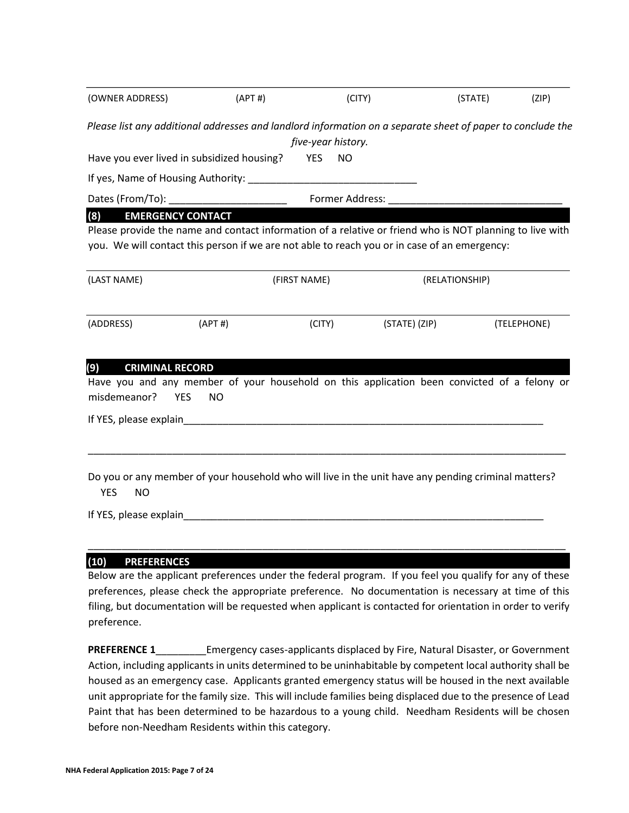| Please list any additional addresses and landlord information on a separate sheet of paper to conclude the<br>five-year history.<br>Have you ever lived in subsidized housing?<br><b>YES</b><br><b>NO</b><br>Dates (From/To):<br>Former Address:<br><b>EMERGENCY CONTACT</b><br>(8)<br>Please provide the name and contact information of a relative or friend who is NOT planning to live with<br>you. We will contact this person if we are not able to reach you or in case of an emergency:<br>(LAST NAME)<br>(FIRST NAME)<br>(RELATIONSHIP)<br>(ADDRESS)<br>(APT#)<br>(STATE) (ZIP)<br>(CITY)<br>(9)<br><b>CRIMINAL RECORD</b><br>Have you and any member of your household on this application been convicted of a felony or<br>misdemeanor?<br><b>YES</b><br><b>NO</b><br>Do you or any member of your household who will live in the unit have any pending criminal matters? | (OWNER ADDRESS) | (APT#) | (CITY) | (STATE) | (ZIP)       |
|--------------------------------------------------------------------------------------------------------------------------------------------------------------------------------------------------------------------------------------------------------------------------------------------------------------------------------------------------------------------------------------------------------------------------------------------------------------------------------------------------------------------------------------------------------------------------------------------------------------------------------------------------------------------------------------------------------------------------------------------------------------------------------------------------------------------------------------------------------------------------------------|-----------------|--------|--------|---------|-------------|
|                                                                                                                                                                                                                                                                                                                                                                                                                                                                                                                                                                                                                                                                                                                                                                                                                                                                                      |                 |        |        |         |             |
|                                                                                                                                                                                                                                                                                                                                                                                                                                                                                                                                                                                                                                                                                                                                                                                                                                                                                      |                 |        |        |         |             |
|                                                                                                                                                                                                                                                                                                                                                                                                                                                                                                                                                                                                                                                                                                                                                                                                                                                                                      |                 |        |        |         |             |
|                                                                                                                                                                                                                                                                                                                                                                                                                                                                                                                                                                                                                                                                                                                                                                                                                                                                                      |                 |        |        |         |             |
|                                                                                                                                                                                                                                                                                                                                                                                                                                                                                                                                                                                                                                                                                                                                                                                                                                                                                      |                 |        |        |         |             |
|                                                                                                                                                                                                                                                                                                                                                                                                                                                                                                                                                                                                                                                                                                                                                                                                                                                                                      |                 |        |        |         |             |
|                                                                                                                                                                                                                                                                                                                                                                                                                                                                                                                                                                                                                                                                                                                                                                                                                                                                                      |                 |        |        |         |             |
|                                                                                                                                                                                                                                                                                                                                                                                                                                                                                                                                                                                                                                                                                                                                                                                                                                                                                      |                 |        |        |         | (TELEPHONE) |
|                                                                                                                                                                                                                                                                                                                                                                                                                                                                                                                                                                                                                                                                                                                                                                                                                                                                                      |                 |        |        |         |             |
| <b>YES</b><br><b>NO</b><br>If YES, please explain and the control of the control of the control of the control of the control of the control of the control of the control of the control of the control of the control of the control of the control of<br>(10)                                                                                                                                                                                                                                                                                                                                                                                                                                                                                                                                                                                                                     |                 |        |        |         |             |

Below are the applicant preferences under the federal program. If you feel you qualify for any of these preferences, please check the appropriate preference. No documentation is necessary at time of this filing, but documentation will be requested when applicant is contacted for orientation in order to verify preference.

**PREFERENCE 1\_\_\_\_\_\_\_\_\_\_\_\_Emergency cases-applicants displaced by Fire, Natural Disaster, or Government** Action, including applicants in units determined to be uninhabitable by competent local authority shall be housed as an emergency case. Applicants granted emergency status will be housed in the next available unit appropriate for the family size. This will include families being displaced due to the presence of Lead Paint that has been determined to be hazardous to a young child. Needham Residents will be chosen before non-Needham Residents within this category.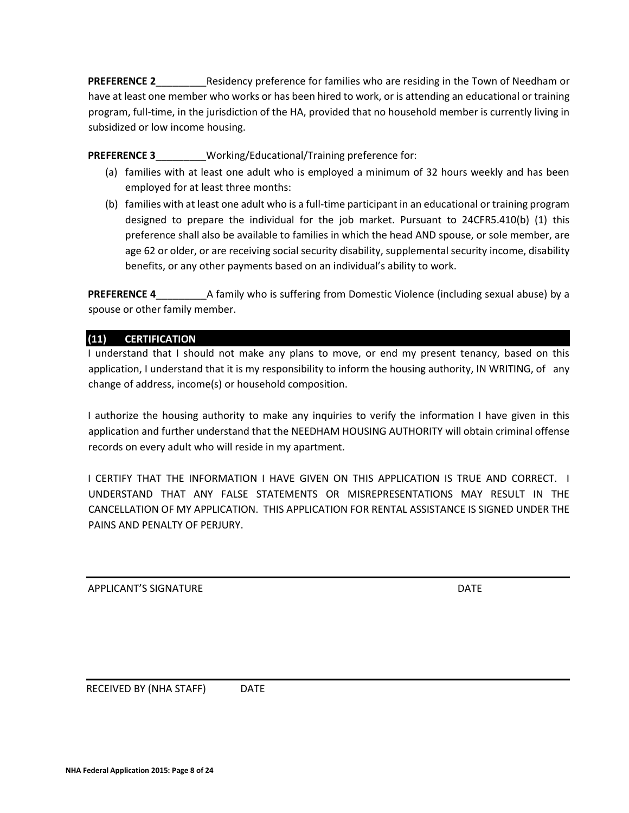**PREFERENCE 2** Residency preference for families who are residing in the Town of Needham or have at least one member who works or has been hired to work, or is attending an educational or training program, full-time, in the jurisdiction of the HA, provided that no household member is currently living in subsidized or low income housing.

**PREFERENCE 3** Working/Educational/Training preference for:

- (a) families with at least one adult who is employed a minimum of 32 hours weekly and has been employed for at least three months:
- (b) families with at least one adult who is a full-time participant in an educational or training program designed to prepare the individual for the job market. Pursuant to 24CFR5.410(b) (1) this preference shall also be available to families in which the head AND spouse, or sole member, are age 62 or older, or are receiving social security disability, supplemental security income, disability benefits, or any other payments based on an individual's ability to work.

**PREFERENCE 4** A family who is suffering from Domestic Violence (including sexual abuse) by a spouse or other family member.

# **(11) CERTIFICATION**

I understand that I should not make any plans to move, or end my present tenancy, based on this application, I understand that it is my responsibility to inform the housing authority, IN WRITING, of any change of address, income(s) or household composition.

I authorize the housing authority to make any inquiries to verify the information I have given in this application and further understand that the NEEDHAM HOUSING AUTHORITY will obtain criminal offense records on every adult who will reside in my apartment.

I CERTIFY THAT THE INFORMATION I HAVE GIVEN ON THIS APPLICATION IS TRUE AND CORRECT. I UNDERSTAND THAT ANY FALSE STATEMENTS OR MISREPRESENTATIONS MAY RESULT IN THE CANCELLATION OF MY APPLICATION. THIS APPLICATION FOR RENTAL ASSISTANCE IS SIGNED UNDER THE PAINS AND PENALTY OF PERJURY.

APPLICANT'S SIGNATURE **Example 20** and the contract of the contract of the contract of the contract of the contra

RECEIVED BY (NHA STAFF) DATE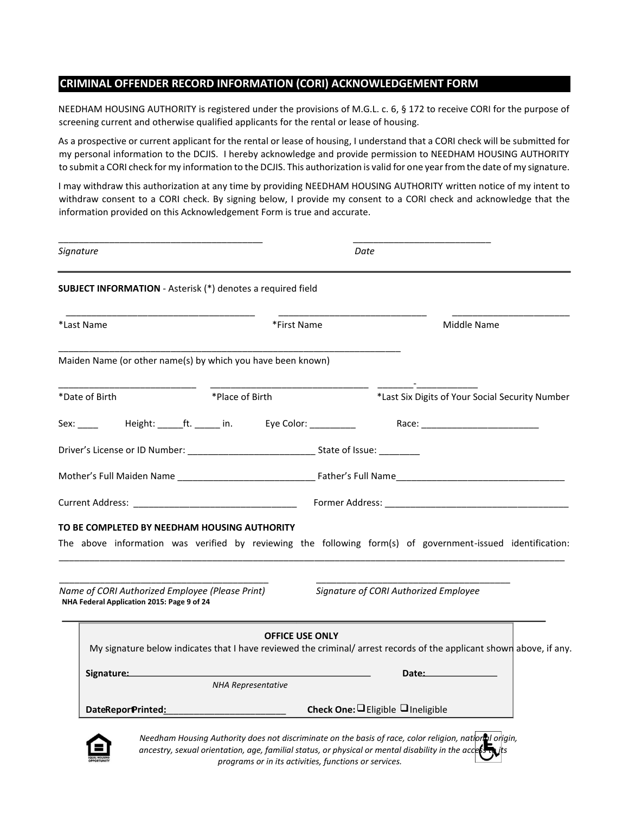## **CRIMINAL OFFENDER RECORD INFORMATION (CORI) ACKNOWLEDGEMENT FORM**

NEEDHAM HOUSING AUTHORITY is registered under the provisions of M.G.L. c. 6, § 172 to receive CORI for the purpose of screening current and otherwise qualified applicants for the rental or lease of housing.

As a prospective or current applicant for the rental or lease of housing, I understand that a CORI check will be submitted for my personal information to the DCJIS. I hereby acknowledge and provide permission to NEEDHAM HOUSING AUTHORITY to submit a CORI check for my information to the DCJIS. This authorization is valid for one year from the date of my signature.

I may withdraw this authorization at any time by providing NEEDHAM HOUSING AUTHORITY written notice of my intent to withdraw consent to a CORI check. By signing below, I provide my consent to a CORI check and acknowledge that the information provided on this Acknowledgement Form is true and accurate.

| Signature                                                                                                                                                                                                                      |                           | Date                                                                                                                |
|--------------------------------------------------------------------------------------------------------------------------------------------------------------------------------------------------------------------------------|---------------------------|---------------------------------------------------------------------------------------------------------------------|
| <b>SUBJECT INFORMATION</b> - Asterisk (*) denotes a required field                                                                                                                                                             |                           |                                                                                                                     |
| *Last Name                                                                                                                                                                                                                     | *First Name               | Middle Name                                                                                                         |
| Maiden Name (or other name(s) by which you have been known)                                                                                                                                                                    |                           |                                                                                                                     |
| *Date of Birth                                                                                                                                                                                                                 | *Place of Birth           | *Last Six Digits of Your Social Security Number                                                                     |
|                                                                                                                                                                                                                                |                           |                                                                                                                     |
|                                                                                                                                                                                                                                |                           |                                                                                                                     |
|                                                                                                                                                                                                                                |                           |                                                                                                                     |
|                                                                                                                                                                                                                                |                           |                                                                                                                     |
| TO BE COMPLETED BY NEEDHAM HOUSING AUTHORITY                                                                                                                                                                                   |                           |                                                                                                                     |
|                                                                                                                                                                                                                                |                           | The above information was verified by reviewing the following form(s) of government-issued identification:          |
| Name of CORI Authorized Employee (Please Print)<br>NHA Federal Application 2015: Page 9 of 24                                                                                                                                  |                           | Signature of CORI Authorized Employee                                                                               |
|                                                                                                                                                                                                                                | <b>OFFICE USE ONLY</b>    | My signature below indicates that I have reviewed the criminal/arrest records of the applicant shown above, if any. |
| Signature: Management of the Signature and Signature and Signature and Signature and Signature and Signature and Signature and Signature and Signature and Signature and Signature and Signature and Signature and Signature a | <b>NHA Representative</b> | Date:                                                                                                               |
| DateReporPrinted:                                                                                                                                                                                                              |                           | Check One: Eligible Ineligible                                                                                      |

*ancestry, sexual orientation, age, familial status, or physical or mental disability in the access to its programs or in its activities, functions or services.*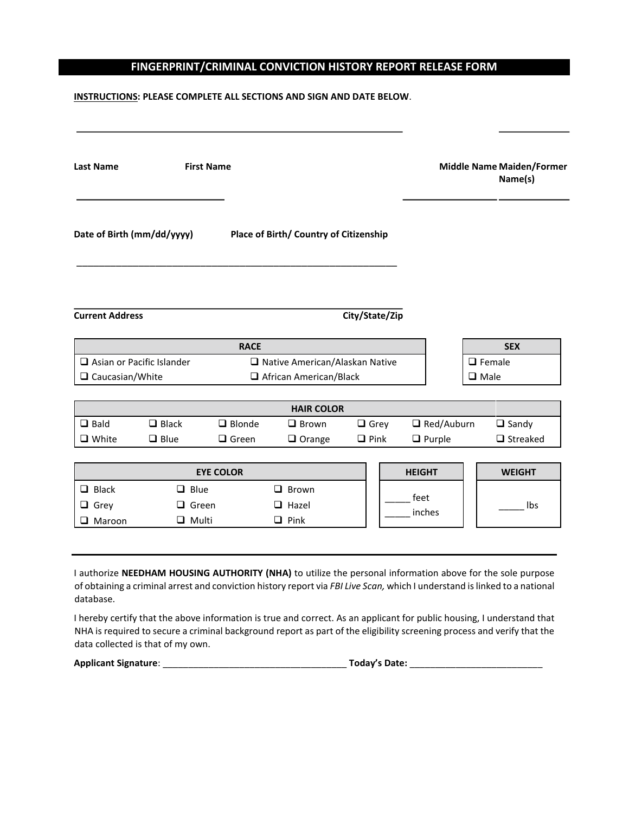# **FINGERPRINT/CRIMINAL CONVICTION HISTORY REPORT RELEASE FORM**

### **INSTRUCTIONS: PLEASE COMPLETE ALL SECTIONS AND SIGN AND DATE BELOW**.

| <b>Last Name</b>                                    |              | <b>First Name</b> |                                                                   |                |                   |                              | <b>Middle Name Maiden/Former</b><br>Name(s) |
|-----------------------------------------------------|--------------|-------------------|-------------------------------------------------------------------|----------------|-------------------|------------------------------|---------------------------------------------|
| Date of Birth (mm/dd/yyyy)                          |              |                   | Place of Birth/ Country of Citizenship                            |                |                   |                              |                                             |
| <b>Current Address</b>                              |              |                   |                                                                   | City/State/Zip |                   |                              |                                             |
|                                                     |              | <b>RACE</b>       |                                                                   |                |                   |                              | <b>SEX</b>                                  |
| Asian or Pacific Islander<br>$\Box$ Caucasian/White |              |                   | □ Native American/Alaskan Native<br>$\Box$ African American/Black |                |                   | $\Box$ Female<br>$\Box$ Male |                                             |
|                                                     |              |                   |                                                                   |                |                   |                              |                                             |
|                                                     |              |                   | <b>HAIR COLOR</b>                                                 |                |                   |                              |                                             |
| $\Box$ Bald                                         | $\Box$ Black | $\Box$ Blonde     | $\Box$ Brown                                                      | $\Box$ Grey    | $\Box$ Red/Auburn |                              | $\Box$ Sandy                                |
| $\Box$ White                                        | $\Box$ Blue  | $\Box$ Green      | $\Box$ Orange                                                     | $\Box$ Pink    | $\Box$ Purple     |                              | $\Box$ Streaked                             |
|                                                     |              |                   |                                                                   |                |                   |                              |                                             |
|                                                     |              | <b>EYE COLOR</b>  |                                                                   |                | <b>HEIGHT</b>     |                              | <b>WEIGHT</b>                               |
| $\Box$ Black                                        |              | $\Box$ Blue       | $\Box$ Brown                                                      |                |                   |                              |                                             |
| $\Box$ Grey                                         |              | $\Box$ Green      | $\Box$ Hazel                                                      |                | feet<br>inches    |                              | Ibs                                         |
| $\Box$ Maroon                                       |              | $\Box$ Multi      | $\Box$ Pink                                                       |                |                   |                              |                                             |
|                                                     |              |                   |                                                                   |                |                   |                              |                                             |

I authorize **NEEDHAM HOUSING AUTHORITY (NHA)** to utilize the personal information above for the sole purpose of obtaining a criminal arrest and conviction history report via *FBI Live Scan,* which I understand is linked to a national database.

I hereby certify that the above information is true and correct. As an applicant for public housing, I understand that NHA is required to secure a criminal background report as part of the eligibility screening process and verify that the data collected is that of my own.

**Applicant Signature: Contract Contract Contract Contract Contract Contract Contract Contract Contract Contract Contract Contract Contract Contract Contract Contract Contract Contract Contract Contract Contract Contract** 

| oday's Date: |  |
|--------------|--|
|--------------|--|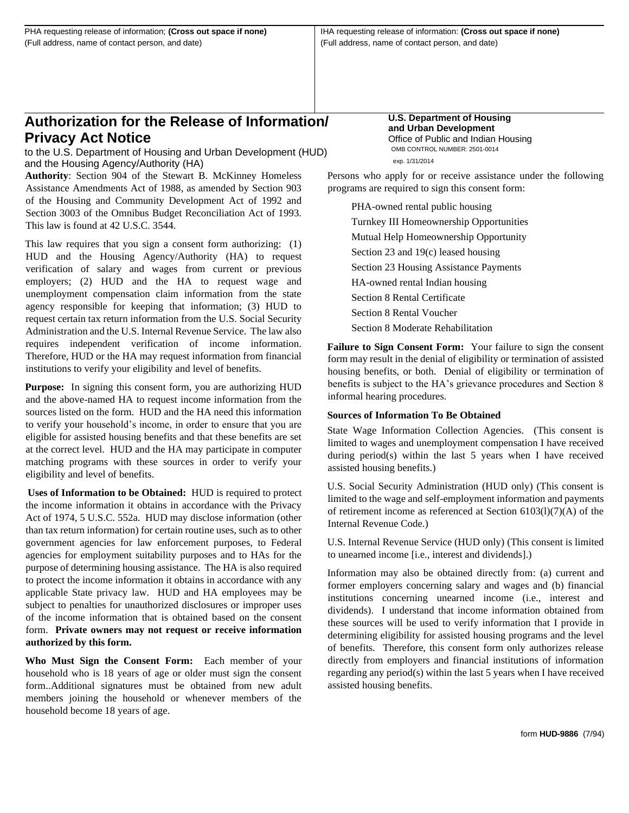# **Authorization for the Release of Information/ Privacy Act Notice**

to the U.S. Department of Housing and Urban Development (HUD) and the Housing Agency/Authority (HA)

**Authority**: Section 904 of the Stewart B. McKinney Homeless Assistance Amendments Act of 1988, as amended by Section 903 of the Housing and Community Development Act of 1992 and Section 3003 of the Omnibus Budget Reconciliation Act of 1993. This law is found at 42 U.S.C. 3544.

This law requires that you sign a consent form authorizing: (1) HUD and the Housing Agency/Authority (HA) to request verification of salary and wages from current or previous employers; (2) HUD and the HA to request wage and unemployment compensation claim information from the state agency responsible for keeping that information; (3) HUD to request certain tax return information from the U.S. Social Security Administration and the U.S. Internal Revenue Service. The law also requires independent verification of income information. Therefore, HUD or the HA may request information from financial institutions to verify your eligibility and level of benefits.

**Purpose:** In signing this consent form, you are authorizing HUD and the above-named HA to request income information from the sources listed on the form. HUD and the HA need this information to verify your household's income, in order to ensure that you are eligible for assisted housing benefits and that these benefits are set at the correct level. HUD and the HA may participate in computer matching programs with these sources in order to verify your eligibility and level of benefits.

**Uses of Information to be Obtained:** HUD is required to protect the income information it obtains in accordance with the Privacy Act of 1974, 5 U.S.C. 552a. HUD may disclose information (other than tax return information) for certain routine uses, such as to other government agencies for law enforcement purposes, to Federal agencies for employment suitability purposes and to HAs for the purpose of determining housing assistance. The HA is also required to protect the income information it obtains in accordance with any applicable State privacy law. HUD and HA employees may be subject to penalties for unauthorized disclosures or improper uses of the income information that is obtained based on the consent form. **Private owners may not request or receive information authorized by this form.**

**Who Must Sign the Consent Form:** Each member of your household who is 18 years of age or older must sign the consent form..Additional signatures must be obtained from new adult members joining the household or whenever members of the household become 18 years of age.

#### **U.S. Department of Housing and Urban Development** Office of Public and Indian Housing OMB CONTROL NUMBER: 2501-0014 exp. 1/31/2014

Persons who apply for or receive assistance under the following programs are required to sign this consent form:

PHA-owned rental public housing Turnkey III Homeownership Opportunities Mutual Help Homeownership Opportunity Section 23 and 19(c) leased housing Section 23 Housing Assistance Payments HA-owned rental Indian housing Section 8 Rental Certificate Section 8 Rental Voucher Section 8 Moderate Rehabilitation

**Failure to Sign Consent Form:** Your failure to sign the consent form may result in the denial of eligibility or termination of assisted housing benefits, or both. Denial of eligibility or termination of benefits is subject to the HA's grievance procedures and Section 8 informal hearing procedures.

### **Sources of Information To Be Obtained**

State Wage Information Collection Agencies. (This consent is limited to wages and unemployment compensation I have received during period(s) within the last 5 years when I have received assisted housing benefits.)

U.S. Social Security Administration (HUD only) (This consent is limited to the wage and self-employment information and payments of retirement income as referenced at Section 6103(l)(7)(A) of the Internal Revenue Code.)

U.S. Internal Revenue Service (HUD only) (This consent is limited to unearned income [i.e., interest and dividends].)

Information may also be obtained directly from: (a) current and former employers concerning salary and wages and (b) financial institutions concerning unearned income (i.e., interest and dividends). I understand that income information obtained from these sources will be used to verify information that I provide in determining eligibility for assisted housing programs and the level of benefits. Therefore, this consent form only authorizes release directly from employers and financial institutions of information regarding any period(s) within the last 5 years when I have received assisted housing benefits.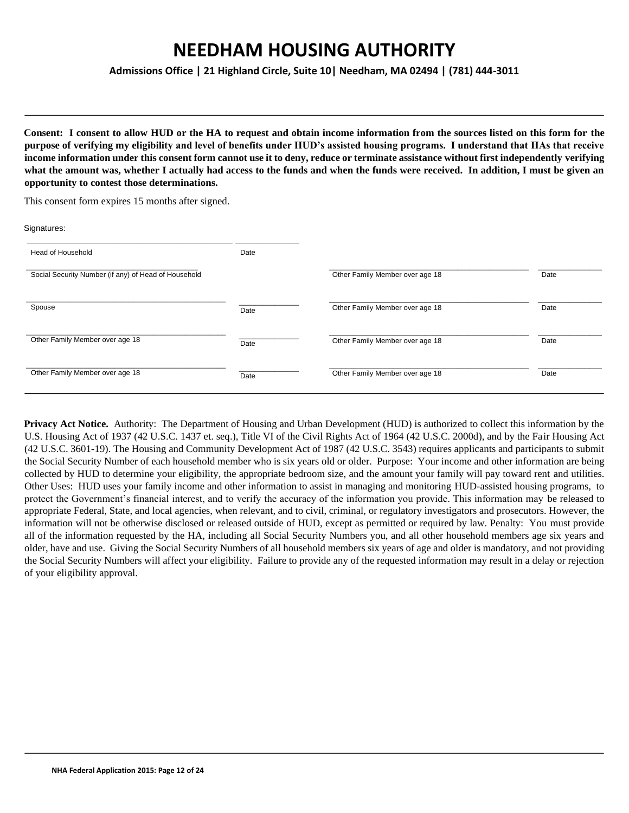**Admissions Office | 21 Highland Circle, Suite 10| Needham, MA 02494 | (781) 444-3011**

**Consent: I consent to allow HUD or the HA to request and obtain income information from the sources listed on this form for the purpose of verifying my eligibility and level of benefits under HUD's assisted housing programs. I understand that HAs that receive income information under this consent form cannot use it to deny, reduce or terminate assistance without first independently verifying what the amount was, whether I actually had access to the funds and when the funds were received. In addition, I must be given an opportunity to contest those determinations.**

This consent form expires 15 months after signed.

| Signatures:                                          |      |                                 |      |
|------------------------------------------------------|------|---------------------------------|------|
| Head of Household                                    | Date |                                 |      |
| Social Security Number (if any) of Head of Household |      | Other Family Member over age 18 | Date |
| Spouse                                               | Date | Other Family Member over age 18 | Date |
| Other Family Member over age 18                      | Date | Other Family Member over age 18 | Date |
| Other Family Member over age 18                      | Date | Other Family Member over age 18 | Date |

**Privacy Act Notice.** Authority: The Department of Housing and Urban Development (HUD) is authorized to collect this information by the U.S. Housing Act of 1937 (42 U.S.C. 1437 et. seq.), Title VI of the Civil Rights Act of 1964 (42 U.S.C. 2000d), and by the Fair Housing Act (42 U.S.C. 3601-19). The Housing and Community Development Act of 1987 (42 U.S.C. 3543) requires applicants and participants to submit the Social Security Number of each household member who is six years old or older. Purpose: Your income and other information are being collected by HUD to determine your eligibility, the appropriate bedroom size, and the amount your family will pay toward rent and utilities. Other Uses: HUD uses your family income and other information to assist in managing and monitoring HUD-assisted housing programs, to protect the Government's financial interest, and to verify the accuracy of the information you provide. This information may be released to appropriate Federal, State, and local agencies, when relevant, and to civil, criminal, or regulatory investigators and prosecutors. However, the information will not be otherwise disclosed or released outside of HUD, except as permitted or required by law. Penalty: You must provide all of the information requested by the HA, including all Social Security Numbers you, and all other household members age six years and older, have and use. Giving the Social Security Numbers of all household members six years of age and older is mandatory, and not providing the Social Security Numbers will affect your eligibility. Failure to provide any of the requested information may result in a delay or rejection of your eligibility approval.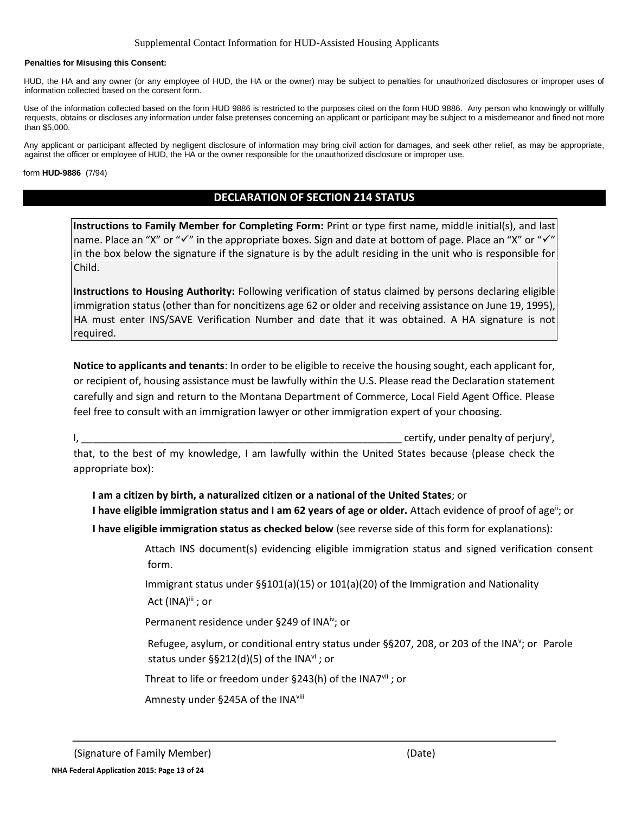#### **Penalties for Misusing this Consent:**

HUD, the HA and any owner (or any employee of HUD, the HA or the owner) may be subject to penalties for unauthorized disclosures or improper uses of information collected based on the consent form.

Use of the information collected based on the form HUD 9886 is restricted to the purposes cited on the form HUD 9886. Any person who knowingly or willfully requests, obtains or discloses any information under false pretenses concerning an applicant or participant may be subject to a misdemeanor and fined not more than \$5,000.

Any applicant or participant affected by negligent disclosure of information may bring civil action for damages, and seek other relief, as may be appropriate, against the officer or employee of HUD, the HA or the owner responsible for the unauthorized disclosure or improper use.

form **HUD-9886** (7/94)

# **DECLARATION OF SECTION 214 STATUS**

**Instructions to Family Member for Completing Form:** Print or type first name, middle initial(s), and last name. Place an "X" or "√" in the appropriate boxes. Sign and date at bottom of page. Place an "X" or "√" in the box below the signature if the signature is by the adult residing in the unit who is responsible for Child.

**Instructions to Housing Authority:** Following verification of status claimed by persons declaring eligible immigration status (other than for noncitizens age 62 or older and receiving assistance on June 19, 1995), HA must enter INS/SAVE Verification Number and date that it was obtained. A HA signature is not required.

**Notice to applicants and tenants**: In order to be eligible to receive the housing sought, each applicant for, or recipient of, housing assistance must be lawfully within the U.S. Please read the Declaration statement carefully and sign and return to the Montana Department of Commerce, Local Field Agent Office. Please feel free to consult with an immigration lawyer or other immigration expert of your choosing.

I, \_\_\_\_\_\_\_\_\_\_\_\_\_\_\_\_\_\_\_\_\_\_\_\_\_\_\_\_\_\_\_\_\_\_\_\_\_\_\_\_\_\_\_\_\_\_\_\_\_\_\_\_\_\_\_\_\_ certify, under penalty of perjury<sup>i</sup> ,

that, to the best of my knowledge, I am lawfully within the United States because (please check the appropriate box):

- **I am a citizen by birth, a naturalized citizen or a national of the United States**; or
- **I have eligible immigration status and I am 62 years of age or older.** Attach evidence of proof of age<sup>ii</sup>; or
- **I have eligible immigration status as checked below** (see reverse side of this form for explanations):

Attach INS document(s) evidencing eligible immigration status and signed verification consent form.

Immigrant status under §§101(a)(15) or 101(a)(20) of the Immigration and Nationality

Act (INA)<sup>iii</sup> ; or

Permanent residence under §249 of INA<sup>iv</sup>; or

Refugee, asylum, or conditional entry status under §§207, 208, or 203 of the INA<sup>v</sup>; or Parole status under §§212(d)(5) of the INA $v$ i; or

Threat to life or freedom under §243(h) of the INA7vii; or

Amnesty under §245A of the INA<sup>viii</sup>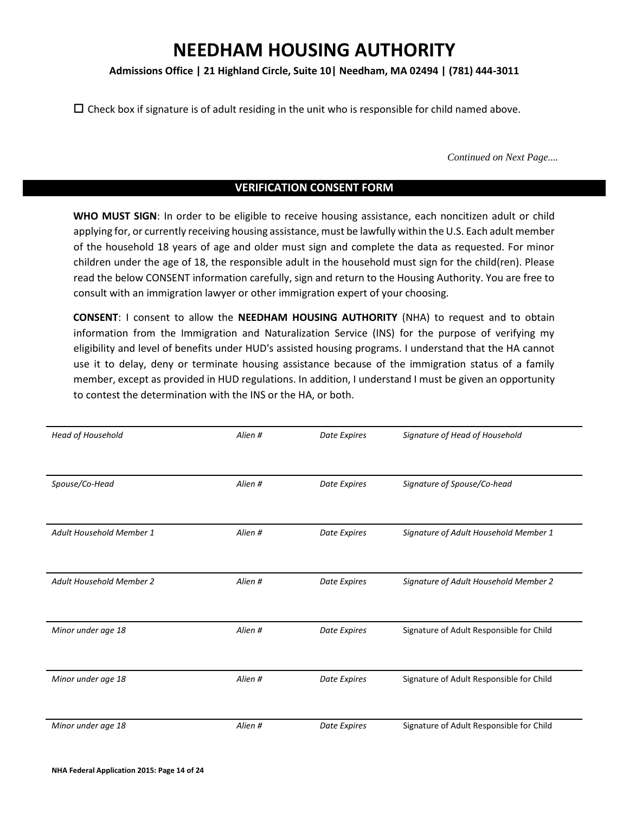### **Admissions Office | 21 Highland Circle, Suite 10| Needham, MA 02494 | (781) 444-3011**

 $\Box$  Check box if signature is of adult residing in the unit who is responsible for child named above.

*Continued on Next Page....*

### **VERIFICATION CONSENT FORM**

**WHO MUST SIGN**: In order to be eligible to receive housing assistance, each noncitizen adult or child applying for, or currently receiving housing assistance, must be lawfully within the U.S. Each adult member of the household 18 years of age and older must sign and complete the data as requested. For minor children under the age of 18, the responsible adult in the household must sign for the child(ren). Please read the below CONSENT information carefully, sign and return to the Housing Authority. You are free to consult with an immigration lawyer or other immigration expert of your choosing.

**CONSENT**: I consent to allow the **NEEDHAM HOUSING AUTHORITY** (NHA) to request and to obtain information from the Immigration and Naturalization Service (INS) for the purpose of verifying my eligibility and level of benefits under HUD's assisted housing programs. I understand that the HA cannot use it to delay, deny or terminate housing assistance because of the immigration status of a family member, except as provided in HUD regulations. In addition, I understand I must be given an opportunity to contest the determination with the INS or the HA, or both.

| Head of Household               | Alien # | Date Expires | Signature of Head of Household           |
|---------------------------------|---------|--------------|------------------------------------------|
|                                 |         |              |                                          |
| Spouse/Co-Head                  | Alien # | Date Expires | Signature of Spouse/Co-head              |
|                                 |         |              |                                          |
| Adult Household Member 1        | Alien # | Date Expires | Signature of Adult Household Member 1    |
|                                 |         |              |                                          |
| <b>Adult Household Member 2</b> | Alien # | Date Expires | Signature of Adult Household Member 2    |
|                                 |         |              |                                          |
| Minor under age 18              | Alien # | Date Expires | Signature of Adult Responsible for Child |
|                                 |         |              |                                          |
| Minor under age 18              | Alien # | Date Expires | Signature of Adult Responsible for Child |
|                                 |         |              |                                          |
| Minor under age 18              | Alien # | Date Expires | Signature of Adult Responsible for Child |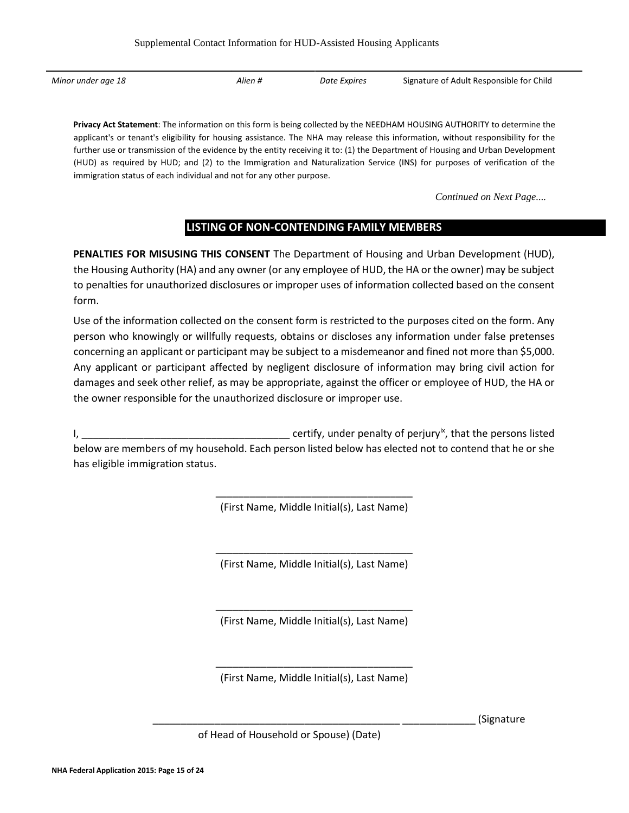*Minor under age 18 Alien # Date Expires* Signature of Adult Responsible for Child

**Privacy Act Statement**: The information on this form is being collected by the NEEDHAM HOUSING AUTHORITY to determine the applicant's or tenant's eligibility for housing assistance. The NHA may release this information, without responsibility for the further use or transmission of the evidence by the entity receiving it to: (1) the Department of Housing and Urban Development (HUD) as required by HUD; and (2) to the Immigration and Naturalization Service (INS) for purposes of verification of the immigration status of each individual and not for any other purpose.

*Continued on Next Page....*

# **LISTING OF NON-CONTENDING FAMILY MEMBERS**

**PENALTIES FOR MISUSING THIS CONSENT** The Department of Housing and Urban Development (HUD), the Housing Authority (HA) and any owner (or any employee of HUD, the HA or the owner) may be subject to penalties for unauthorized disclosures or improper uses of information collected based on the consent form.

Use of the information collected on the consent form is restricted to the purposes cited on the form. Any person who knowingly or willfully requests, obtains or discloses any information under false pretenses concerning an applicant or participant may be subject to a misdemeanor and fined not more than \$5,000. Any applicant or participant affected by negligent disclosure of information may bring civil action for damages and seek other relief, as may be appropriate, against the officer or employee of HUD, the HA or the owner responsible for the unauthorized disclosure or improper use.

I, \_\_\_\_\_\_\_\_\_\_\_\_\_\_\_\_\_\_\_\_\_\_\_\_\_\_\_\_\_\_\_\_\_\_\_\_\_ certify, under penalty of perjuryix , that the persons listed below are members of my household. Each person listed below has elected not to contend that he or she has eligible immigration status.

> \_\_\_\_\_\_\_\_\_\_\_\_\_\_\_\_\_\_\_\_\_\_\_\_\_\_\_\_\_\_\_\_\_\_\_ (First Name, Middle Initial(s), Last Name)

> \_\_\_\_\_\_\_\_\_\_\_\_\_\_\_\_\_\_\_\_\_\_\_\_\_\_\_\_\_\_\_\_\_\_\_ (First Name, Middle Initial(s), Last Name)

> \_\_\_\_\_\_\_\_\_\_\_\_\_\_\_\_\_\_\_\_\_\_\_\_\_\_\_\_\_\_\_\_\_\_\_ (First Name, Middle Initial(s), Last Name)

> \_\_\_\_\_\_\_\_\_\_\_\_\_\_\_\_\_\_\_\_\_\_\_\_\_\_\_\_\_\_\_\_\_\_\_ (First Name, Middle Initial(s), Last Name)

> > \_\_\_\_\_\_\_\_\_\_\_\_\_\_\_\_\_\_\_\_\_\_\_\_\_\_\_\_\_\_\_\_\_\_\_\_\_\_\_\_\_\_\_\_ \_\_\_\_\_\_\_\_\_\_\_\_\_ (Signature

of Head of Household or Spouse) (Date)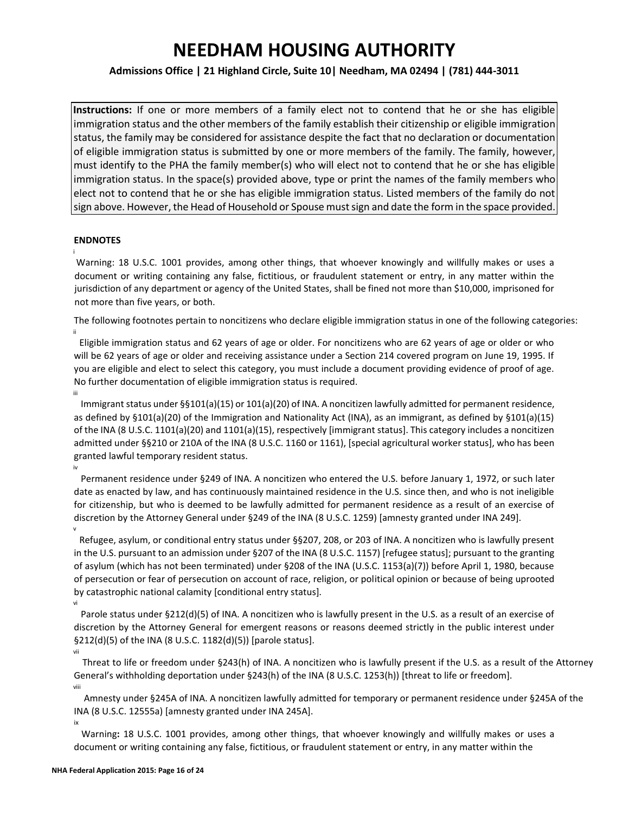### **Admissions Office | 21 Highland Circle, Suite 10| Needham, MA 02494 | (781) 444-3011**

**Instructions:** If one or more members of a family elect not to contend that he or she has eligible immigration status and the other members of the family establish their citizenship or eligible immigration status, the family may be considered for assistance despite the fact that no declaration or documentation of eligible immigration status is submitted by one or more members of the family. The family, however, must identify to the PHA the family member(s) who will elect not to contend that he or she has eligible immigration status. In the space(s) provided above, type or print the names of the family members who elect not to contend that he or she has eligible immigration status. Listed members of the family do not sign above. However, the Head of Household or Spouse must sign and date the form in the space provided.

### **ENDNOTES**

i

iv

ix

Warning: 18 U.S.C. 1001 provides, among other things, that whoever knowingly and willfully makes or uses a document or writing containing any false, fictitious, or fraudulent statement or entry, in any matter within the jurisdiction of any department or agency of the United States, shall be fined not more than \$10,000, imprisoned for not more than five years, or both.

The following footnotes pertain to noncitizens who declare eligible immigration status in one of the following categories: ii

Eligible immigration status and 62 years of age or older. For noncitizens who are 62 years of age or older or who will be 62 years of age or older and receiving assistance under a Section 214 covered program on June 19, 1995. If you are eligible and elect to select this category, you must include a document providing evidence of proof of age. No further documentation of eligible immigration status is required. iii

Immigrant status under §§101(a)(15) or 101(a)(20) of INA. A noncitizen lawfully admitted for permanent residence, as defined by §101(a)(20) of the Immigration and Nationality Act (INA), as an immigrant, as defined by §101(a)(15) of the INA (8 U.S.C. 1101(a)(20) and 1101(a)(15), respectively [immigrant status]. This category includes a noncitizen admitted under §§210 or 210A of the INA (8 U.S.C. 1160 or 1161), [special agricultural worker status], who has been granted lawful temporary resident status.

Permanent residence under §249 of INA. A noncitizen who entered the U.S. before January 1, 1972, or such later date as enacted by law, and has continuously maintained residence in the U.S. since then, and who is not ineligible for citizenship, but who is deemed to be lawfully admitted for permanent residence as a result of an exercise of discretion by the Attorney General under §249 of the INA (8 U.S.C. 1259) [amnesty granted under INA 249]. v

Refugee, asylum, or conditional entry status under §§207, 208, or 203 of INA. A noncitizen who is lawfully present in the U.S. pursuant to an admission under §207 of the INA (8 U.S.C. 1157) [refugee status]; pursuant to the granting of asylum (which has not been terminated) under §208 of the INA (U.S.C. 1153(a)(7)) before April 1, 1980, because of persecution or fear of persecution on account of race, religion, or political opinion or because of being uprooted by catastrophic national calamity [conditional entry status]. vi

Parole status under §212(d)(5) of INA. A noncitizen who is lawfully present in the U.S. as a result of an exercise of discretion by the Attorney General for emergent reasons or reasons deemed strictly in the public interest under §212(d)(5) of the INA (8 U.S.C. 1182(d)(5)) [parole status]. vii

Threat to life or freedom under §243(h) of INA. A noncitizen who is lawfully present if the U.S. as a result of the Attorney General's withholding deportation under §243(h) of the INA (8 U.S.C. 1253(h)) [threat to life or freedom]. viii

Amnesty under §245A of INA. A noncitizen lawfully admitted for temporary or permanent residence under §245A of the INA (8 U.S.C. 12555a) [amnesty granted under INA 245A].

Warning**:** 18 U.S.C. 1001 provides, among other things, that whoever knowingly and willfully makes or uses a document or writing containing any false, fictitious, or fraudulent statement or entry, in any matter within the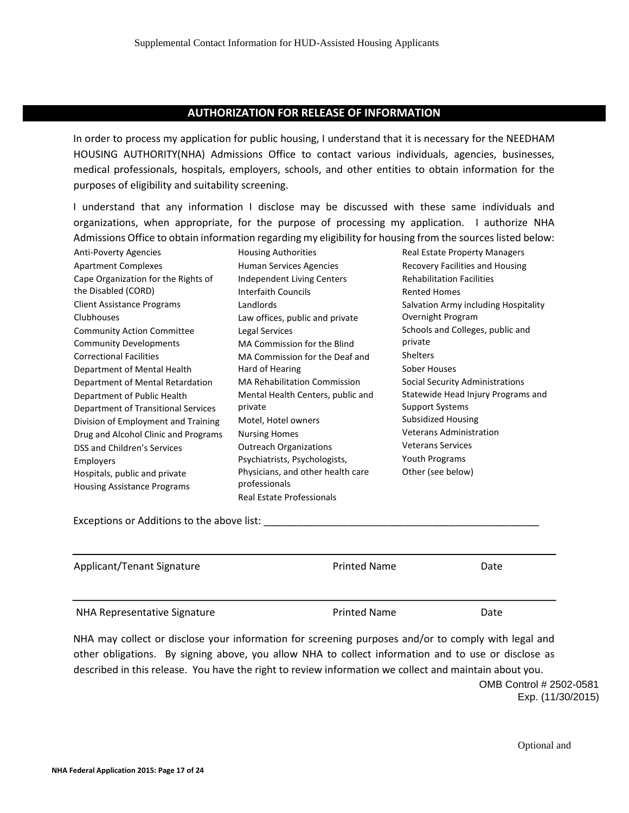# **AUTHORIZATION FOR RELEASE OF INFORMATION**

In order to process my application for public housing, I understand that it is necessary for the NEEDHAM HOUSING AUTHORITY(NHA) Admissions Office to contact various individuals, agencies, businesses, medical professionals, hospitals, employers, schools, and other entities to obtain information for the purposes of eligibility and suitability screening.

I understand that any information I disclose may be discussed with these same individuals and organizations, when appropriate, for the purpose of processing my application. I authorize NHA Admissions Office to obtain information regarding my eligibility for housing from the sources listed below:

Anti-Poverty Agencies Apartment Complexes Cape Organization for the Rights of the Disabled (CORD) Client Assistance Programs Clubhouses Community Action Committee Community Developments Correctional Facilities Department of Mental Health Department of Mental Retardation Department of Public Health Department of Transitional Services Division of Employment and Training Drug and Alcohol Clinic and Programs DSS and Children's Services Employers Hospitals, public and private Housing Assistance Programs

Housing Authorities Human Services Agencies Independent Living Centers Interfaith Councils Landlords Law offices, public and private Legal Services MA Commission for the Blind MA Commission for the Deaf and Hard of Hearing MA Rehabilitation Commission Mental Health Centers, public and private Motel, Hotel owners Nursing Homes Outreach Organizations Psychiatrists, Psychologists, Physicians, and other health care professionals Real Estate Professionals

Real Estate Property Managers Recovery Facilities and Housing Rehabilitation Facilities Rented Homes Salvation Army including Hospitality Overnight Program Schools and Colleges, public and private Shelters Sober Houses Social Security Administrations Statewide Head Injury Programs and Support Systems Subsidized Housing Veterans Administration Veterans Services Youth Programs Other (see below)

Exceptions or Additions to the above list:

| Applicant/Tenant Signature   | <b>Printed Name</b> | Date |
|------------------------------|---------------------|------|
| NHA Representative Signature | <b>Printed Name</b> | Date |

NHA may collect or disclose your information for screening purposes and/or to comply with legal and other obligations. By signing above, you allow NHA to collect information and to use or disclose as described in this release. You have the right to review information we collect and maintain about you. OMB Control # 2502-0581

Exp. (11/30/2015)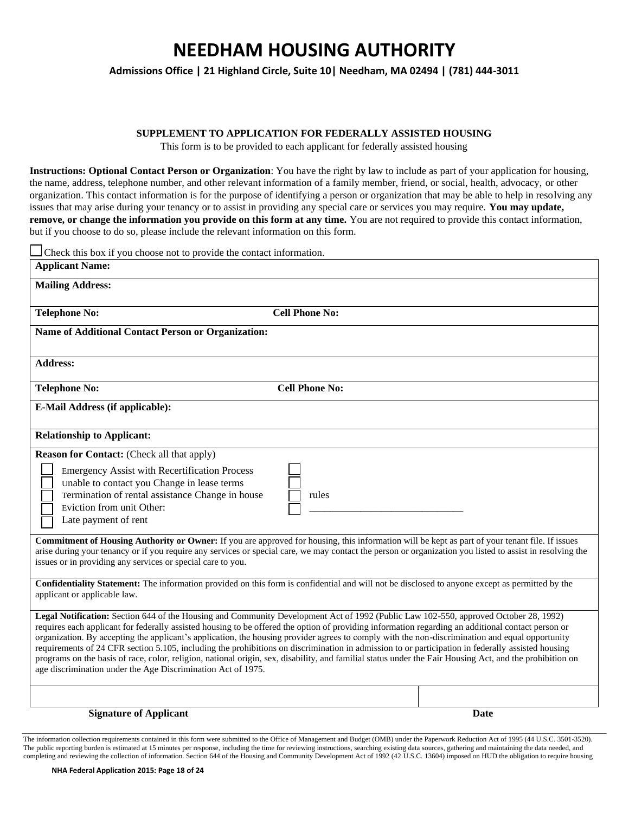**Admissions Office | 21 Highland Circle, Suite 10| Needham, MA 02494 | (781) 444-3011**

#### **SUPPLEMENT TO APPLICATION FOR FEDERALLY ASSISTED HOUSING**

This form is to be provided to each applicant for federally assisted housing

**Instructions: Optional Contact Person or Organization**: You have the right by law to include as part of your application for housing, the name, address, telephone number, and other relevant information of a family member, friend, or social, health, advocacy, or other organization. This contact information is for the purpose of identifying a person or organization that may be able to help in resolving any issues that may arise during your tenancy or to assist in providing any special care or services you may require. **You may update, remove, or change the information you provide on this form at any time.** You are not required to provide this contact information, but if you choose to do so, please include the relevant information on this form.

| Check this box if you choose not to provide the contact information.                                                                                                                                                                                                                                                                                                                                                                                                                                                                                                                                                                                                                                                                                                                                                           |                       |      |
|--------------------------------------------------------------------------------------------------------------------------------------------------------------------------------------------------------------------------------------------------------------------------------------------------------------------------------------------------------------------------------------------------------------------------------------------------------------------------------------------------------------------------------------------------------------------------------------------------------------------------------------------------------------------------------------------------------------------------------------------------------------------------------------------------------------------------------|-----------------------|------|
| <b>Applicant Name:</b>                                                                                                                                                                                                                                                                                                                                                                                                                                                                                                                                                                                                                                                                                                                                                                                                         |                       |      |
| <b>Mailing Address:</b>                                                                                                                                                                                                                                                                                                                                                                                                                                                                                                                                                                                                                                                                                                                                                                                                        |                       |      |
| <b>Telephone No:</b>                                                                                                                                                                                                                                                                                                                                                                                                                                                                                                                                                                                                                                                                                                                                                                                                           | <b>Cell Phone No:</b> |      |
| <b>Name of Additional Contact Person or Organization:</b>                                                                                                                                                                                                                                                                                                                                                                                                                                                                                                                                                                                                                                                                                                                                                                      |                       |      |
| <b>Address:</b>                                                                                                                                                                                                                                                                                                                                                                                                                                                                                                                                                                                                                                                                                                                                                                                                                |                       |      |
| <b>Telephone No:</b>                                                                                                                                                                                                                                                                                                                                                                                                                                                                                                                                                                                                                                                                                                                                                                                                           | <b>Cell Phone No:</b> |      |
| E-Mail Address (if applicable):                                                                                                                                                                                                                                                                                                                                                                                                                                                                                                                                                                                                                                                                                                                                                                                                |                       |      |
| <b>Relationship to Applicant:</b>                                                                                                                                                                                                                                                                                                                                                                                                                                                                                                                                                                                                                                                                                                                                                                                              |                       |      |
| <b>Reason for Contact:</b> (Check all that apply)<br><b>Emergency Assist with Recertification Process</b><br>Unable to contact you Change in lease terms<br>Termination of rental assistance Change in house<br>Eviction from unit Other:<br>Late payment of rent<br><b>Commitment of Housing Authority or Owner:</b> If you are approved for housing, this information will be kept as part of your tenant file. If issues<br>arise during your tenancy or if you require any services or special care, we may contact the person or organization you listed to assist in resolving the<br>issues or in providing any services or special care to you.                                                                                                                                                                        | rules                 |      |
| Confidentiality Statement: The information provided on this form is confidential and will not be disclosed to anyone except as permitted by the<br>applicant or applicable law.                                                                                                                                                                                                                                                                                                                                                                                                                                                                                                                                                                                                                                                |                       |      |
| Legal Notification: Section 644 of the Housing and Community Development Act of 1992 (Public Law 102-550, approved October 28, 1992)<br>requires each applicant for federally assisted housing to be offered the option of providing information regarding an additional contact person or<br>organization. By accepting the applicant's application, the housing provider agrees to comply with the non-discrimination and equal opportunity<br>requirements of 24 CFR section 5.105, including the prohibitions on discrimination in admission to or participation in federally assisted housing<br>programs on the basis of race, color, religion, national origin, sex, disability, and familial status under the Fair Housing Act, and the prohibition on<br>age discrimination under the Age Discrimination Act of 1975. |                       |      |
|                                                                                                                                                                                                                                                                                                                                                                                                                                                                                                                                                                                                                                                                                                                                                                                                                                |                       |      |
| <b>Signature of Applicant</b>                                                                                                                                                                                                                                                                                                                                                                                                                                                                                                                                                                                                                                                                                                                                                                                                  |                       | Date |

The information collection requirements contained in this form were submitted to the Office of Management and Budget (OMB) under the Paperwork Reduction Act of 1995 (44 U.S.C. 3501-3520). The public reporting burden is estimated at 15 minutes per response, including the time for reviewing instructions, searching existing data sources, gathering and maintaining the data needed, and completing and reviewing the collection of information. Section 644 of the Housing and Community Development Act of 1992 (42 U.S.C. 13604) imposed on HUD the obligation to require housing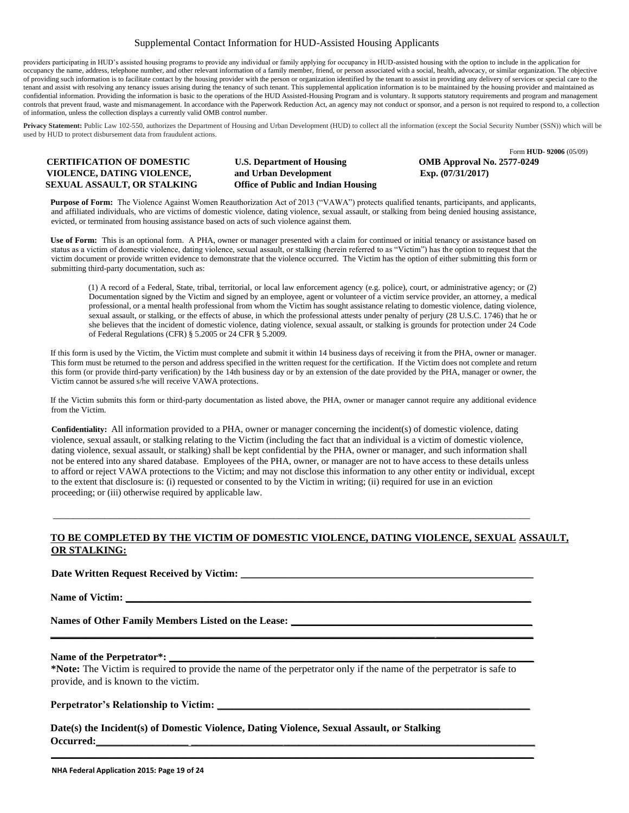### Supplemental Contact Information for HUD-Assisted Housing Applicants

providers participating in HUD's assisted housing programs to provide any individual or family applying for occupancy in HUD-assisted housing with the option to include in the application for occupancy the name, address, telephone number, and other relevant information of a family member, friend, or person associated with a social, health, advocacy, or similar organization. The objective of providing such information is to facilitate contact by the housing provider with the person or organization identified by the tenant to assist in providing any delivery of services or special care to the tenant and assist with resolving any tenancy issues arising during the tenancy of such tenant. This supplemental application information is to be maintained by the housing provider and maintained as confidential information. Providing the information is basic to the operations of the HUD Assisted-Housing Program and is voluntary. It supports statutory requirements and program and management controls that prevent fraud, waste and mismanagement. In accordance with the Paperwork Reduction Act, an agency may not conduct or sponsor, and a person is not required to respond to, a collection of information, unless the collection displays a currently valid OMB control number.

Privacy Statement: Public Law 102-550, authorizes the Department of Housing and Urban Development (HUD) to collect all the information (except the Social Security Number (SSN)) which will be used by HUD to protect disbursement data from fraudulent actions.

# **VIOLENCE, DATING VIOLENCE, and Urban Development Exp. (07/31/2017) SEXUAL ASSAULT, OR STALKING Office of Public and Indian Housing**

**CERTIFICATION OF DOMESTIC U.S. Department of Housing OMB Approval No. 2577-0249** 

Form **HUD- 92006** (05/09)

**Purpose of Form:** The Violence Against Women Reauthorization Act of 2013 ("VAWA") protects qualified tenants, participants, and applicants, and affiliated individuals, who are victims of domestic violence, dating violence, sexual assault, or stalking from being denied housing assistance, evicted, or terminated from housing assistance based on acts of such violence against them.

**Use of Form:** This is an optional form. A PHA, owner or manager presented with a claim for continued or initial tenancy or assistance based on status as a victim of domestic violence, dating violence, sexual assault, or stalking (herein referred to as "Victim") has the option to request that the victim document or provide written evidence to demonstrate that the violence occurred. The Victim has the option of either submitting this form or submitting third-party documentation, such as:

(1) A record of a Federal, State, tribal, territorial, or local law enforcement agency (e.g. police), court, or administrative agency; or (2) Documentation signed by the Victim and signed by an employee, agent or volunteer of a victim service provider, an attorney, a medical professional, or a mental health professional from whom the Victim has sought assistance relating to domestic violence, dating violence, sexual assault, or stalking, or the effects of abuse, in which the professional attests under penalty of perjury (28 U.S.C. 1746) that he or she believes that the incident of domestic violence, dating violence, sexual assault, or stalking is grounds for protection under 24 Code of Federal Regulations (CFR) § 5.2005 or 24 CFR § 5.2009.

If this form is used by the Victim, the Victim must complete and submit it within 14 business days of receiving it from the PHA, owner or manager. This form must be returned to the person and address specified in the written request for the certification. If the Victim does not complete and return this form (or provide third-party verification) by the 14th business day or by an extension of the date provided by the PHA, manager or owner, the Victim cannot be assured s/he will receive VAWA protections.

If the Victim submits this form or third-party documentation as listed above, the PHA, owner or manager cannot require any additional evidence from the Victim.

**Confidentiality:** All information provided to a PHA, owner or manager concerning the incident(s) of domestic violence, dating violence, sexual assault, or stalking relating to the Victim (including the fact that an individual is a victim of domestic violence, dating violence, sexual assault, or stalking) shall be kept confidential by the PHA, owner or manager, and such information shall not be entered into any shared database. Employees of the PHA, owner, or manager are not to have access to these details unless to afford or reject VAWA protections to the Victim; and may not disclose this information to any other entity or individual, except to the extent that disclosure is: (i) requested or consented to by the Victim in writing; (ii) required for use in an eviction proceeding; or (iii) otherwise required by applicable law.

 $\_$  ,  $\_$  ,  $\_$  ,  $\_$  ,  $\_$  ,  $\_$  ,  $\_$  ,  $\_$  ,  $\_$  ,  $\_$  ,  $\_$  ,  $\_$  ,  $\_$  ,  $\_$  ,  $\_$  ,  $\_$  ,  $\_$  ,  $\_$  ,  $\_$  ,  $\_$  ,  $\_$  ,  $\_$  ,  $\_$  ,  $\_$  ,  $\_$  ,  $\_$  ,  $\_$  ,  $\_$  ,  $\_$  ,  $\_$  ,  $\_$  ,  $\_$  ,  $\_$  ,  $\_$  ,  $\_$  ,  $\_$  ,  $\_$  ,

### **TO BE COMPLETED BY THE VICTIM OF DOMESTIC VIOLENCE, DATING VIOLENCE, SEXUAL ASSAULT, OR STALKING:**

**Date Written Request Received by Victim:** \_\_\_\_\_\_\_\_\_\_\_\_\_\_\_\_\_\_\_\_\_\_\_\_\_\_\_\_\_\_\_\_\_\_\_\_\_\_\_\_\_\_\_\_\_\_\_\_\_\_\_\_\_\_\_\_\_

Name of Victim:

**Names of Other Family Members Listed on the Lease: \_\_\_\_\_\_\_\_\_\_\_\_\_\_\_\_\_\_\_\_\_\_\_\_\_\_\_\_\_\_\_\_\_\_\_\_\_\_\_\_\_\_\_\_\_\_\_**

#### Name of the Perpetrator\*: \_

**\*Note:** The Victim is required to provide the name of the perpetrator only if the name of the perpetrator is safe to provide, and is known to the victim.

**\_\_\_\_\_\_\_\_\_\_\_\_\_\_\_\_\_\_\_\_\_\_\_\_\_\_\_\_\_\_\_\_\_\_\_\_\_\_\_\_\_\_\_\_\_\_\_\_\_\_\_\_\_\_\_\_\_\_\_\_\_\_\_\_\_\_\_\_\_\_\_\_\_\_\_\_\_\_\_\_\_\_\_\_\_\_\_\_\_\_\_\_\_\_**

**\_\_\_\_\_\_\_\_\_\_\_\_\_\_\_\_\_\_\_\_\_\_\_\_\_\_\_\_\_\_\_\_\_\_\_\_\_\_\_\_\_\_\_\_\_\_\_\_\_\_\_\_\_\_\_\_\_\_\_\_\_\_\_\_\_\_\_\_\_\_\_\_\_\_\_\_\_\_\_\_\_\_\_\_\_\_\_\_\_\_\_\_\_\_**

### **Perpetrator's Relationship to Victim: \_\_\_\_\_\_\_\_\_\_\_\_\_\_\_\_\_\_\_\_\_\_\_\_\_\_\_\_\_\_\_\_\_\_\_\_\_\_\_\_\_\_\_\_\_\_\_\_\_\_\_\_\_\_\_\_\_\_\_\_\_**

**Date(s) the Incident(s) of Domestic Violence, Dating Violence, Sexual Assault, or Stalking Occurred:\_\_\_\_\_\_\_\_\_\_\_\_\_\_\_\_\_\_ \_\_\_\_\_\_\_\_\_\_\_\_\_\_\_\_\_\_\_\_\_\_\_\_\_\_\_\_\_\_\_\_\_\_\_\_\_\_\_\_\_\_\_\_\_\_\_\_\_\_\_\_\_\_\_\_\_\_\_\_\_\_\_\_\_\_\_**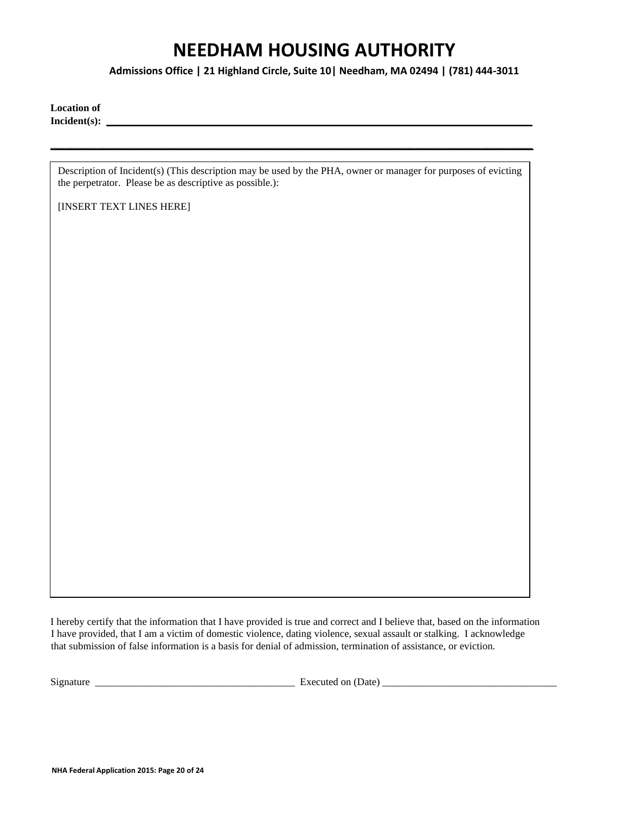**Admissions Office | 21 Highland Circle, Suite 10| Needham, MA 02494 | (781) 444-3011**

**Location of**  Incident(s):

Description of Incident(s) (This description may be used by the PHA, owner or manager for purposes of evicting the perpetrator. Please be as descriptive as possible.):

**\_\_\_\_\_\_\_\_\_\_\_\_\_\_\_\_\_\_\_\_\_\_\_\_\_\_\_\_\_\_\_\_\_\_\_\_\_\_\_\_\_\_\_\_\_\_\_\_\_\_\_\_\_\_\_\_\_\_\_\_\_\_\_\_\_\_\_\_\_\_\_\_\_\_\_\_\_\_\_\_\_\_\_\_\_\_\_\_\_\_\_\_\_\_**

[INSERT TEXT LINES HERE]

I hereby certify that the information that I have provided is true and correct and I believe that, based on the information I have provided, that I am a victim of domestic violence, dating violence, sexual assault or stalking. I acknowledge that submission of false information is a basis for denial of admission, termination of assistance, or eviction.

 $Signature$   $\longrightarrow$   $Expected on (Date)$   $\longrightarrow$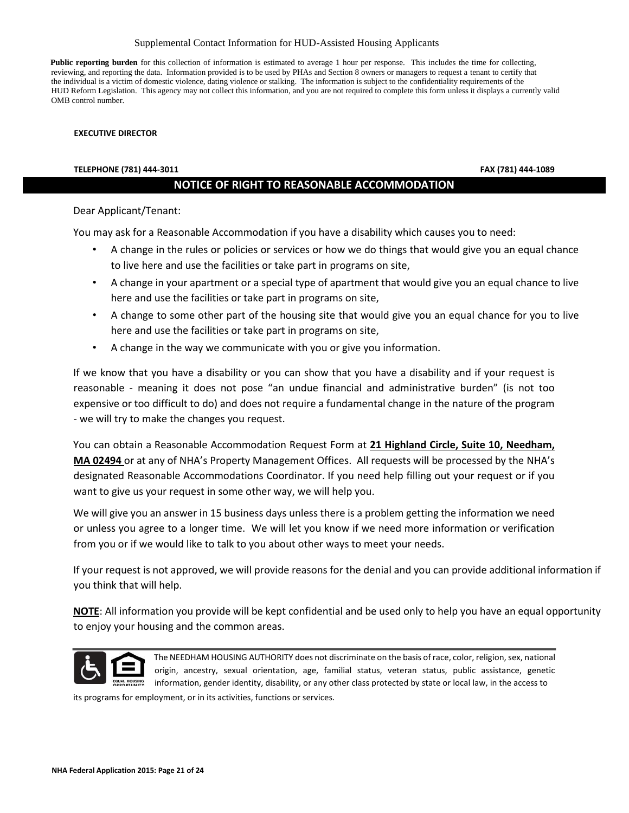#### Supplemental Contact Information for HUD-Assisted Housing Applicants

Public reporting burden for this collection of information is estimated to average 1 hour per response. This includes the time for collecting, reviewing, and reporting the data. Information provided is to be used by PHAs and Section 8 owners or managers to request a tenant to certify that the individual is a victim of domestic violence, dating violence or stalking. The information is subject to the confidentiality requirements of the HUD Reform Legislation. This agency may not collect this information, and you are not required to complete this form unless it displays a currently valid OMB control number.

#### **EXECUTIVE DIRECTOR**

#### **TELEPHONE (781) 444-3011 FAX (781) 444-1089**

### **NOTICE OF RIGHT TO REASONABLE ACCOMMODATION**

Dear Applicant/Tenant:

You may ask for a Reasonable Accommodation if you have a disability which causes you to need:

- A change in the rules or policies or services or how we do things that would give you an equal chance to live here and use the facilities or take part in programs on site,
- A change in your apartment or a special type of apartment that would give you an equal chance to live here and use the facilities or take part in programs on site,
- A change to some other part of the housing site that would give you an equal chance for you to live here and use the facilities or take part in programs on site,
- A change in the way we communicate with you or give you information.

If we know that you have a disability or you can show that you have a disability and if your request is reasonable - meaning it does not pose "an undue financial and administrative burden" (is not too expensive or too difficult to do) and does not require a fundamental change in the nature of the program - we will try to make the changes you request.

You can obtain a Reasonable Accommodation Request Form at **21 Highland Circle, Suite 10, Needham, MA 02494** or at any of NHA's Property Management Offices. All requests will be processed by the NHA's designated Reasonable Accommodations Coordinator. If you need help filling out your request or if you want to give us your request in some other way, we will help you.

We will give you an answer in 15 business days unless there is a problem getting the information we need or unless you agree to a longer time. We will let you know if we need more information or verification from you or if we would like to talk to you about other ways to meet your needs.

If your request is not approved, we will provide reasons for the denial and you can provide additional information if you think that will help.

**NOTE**: All information you provide will be kept confidential and be used only to help you have an equal opportunity to enjoy your housing and the common areas.



The NEEDHAM HOUSING AUTHORITY does not discriminate on the basis of race, color, religion, sex, national origin, ancestry, sexual orientation, age, familial status, veteran status, public assistance, genetic information, gender identity, disability, or any other class protected by state or local law, in the access to

its programs for employment, or in its activities, functions or services.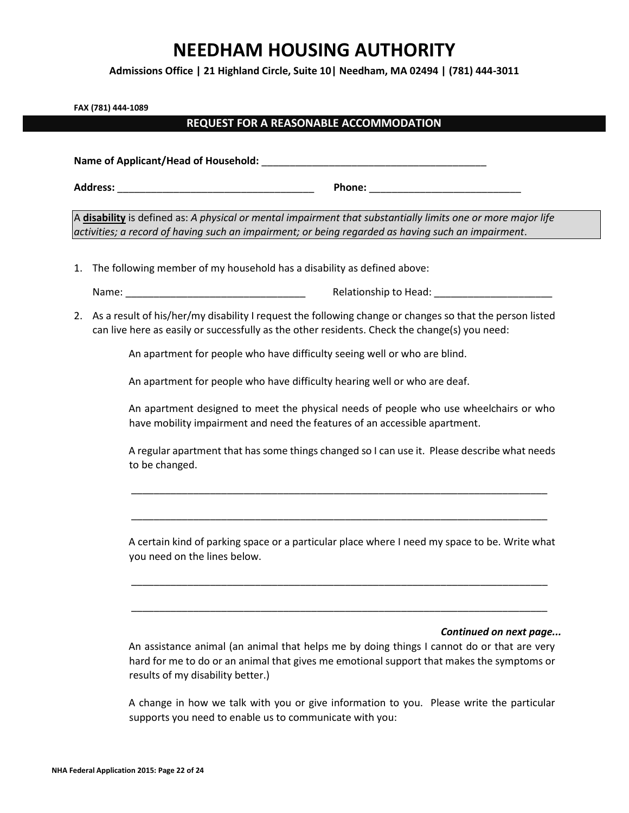**Admissions Office | 21 Highland Circle, Suite 10| Needham, MA 02494 | (781) 444-3011**

**FAX (781) 444-1089**

### **REQUEST FOR A REASONABLE ACCOMMODATION**

**Name of Applicant/Head of Household:** \_\_\_\_\_\_\_\_\_\_\_\_\_\_\_\_\_\_\_\_\_\_\_\_\_\_\_\_\_\_\_\_\_\_\_\_\_\_\_\_ **Address:** \_\_\_\_\_\_\_\_\_\_\_\_\_\_\_\_\_\_\_\_\_\_\_\_\_\_\_\_\_\_\_\_\_\_\_ **Phone:** \_\_\_\_\_\_\_\_\_\_\_\_\_\_\_\_\_\_\_\_\_\_\_\_\_\_\_

A **disability** is defined as: *A physical or mental impairment that substantially limits one or more major life activities; a record of having such an impairment; or being regarded as having such an impairment*.

1. The following member of my household has a disability as defined above:

Name: \_\_\_\_\_\_\_\_\_\_\_\_\_\_\_\_\_\_\_\_\_\_\_\_\_\_\_\_\_\_\_\_ Relationship to Head: \_\_\_\_\_\_\_\_\_\_\_\_\_\_\_\_\_\_\_\_\_

2. As a result of his/her/my disability I request the following change or changes so that the person listed can live here as easily or successfully as the other residents. Check the change(s) you need:

An apartment for people who have difficulty seeing well or who are blind.

An apartment for people who have difficulty hearing well or who are deaf.

An apartment designed to meet the physical needs of people who use wheelchairs or who have mobility impairment and need the features of an accessible apartment.

A regular apartment that has some things changed so I can use it. Please describe what needs to be changed.

\_\_\_\_\_\_\_\_\_\_\_\_\_\_\_\_\_\_\_\_\_\_\_\_\_\_\_\_\_\_\_\_\_\_\_\_\_\_\_\_\_\_\_\_\_\_\_\_\_\_\_\_\_\_\_\_\_\_\_\_\_\_\_\_\_\_\_\_\_\_\_\_\_\_

\_\_\_\_\_\_\_\_\_\_\_\_\_\_\_\_\_\_\_\_\_\_\_\_\_\_\_\_\_\_\_\_\_\_\_\_\_\_\_\_\_\_\_\_\_\_\_\_\_\_\_\_\_\_\_\_\_\_\_\_\_\_\_\_\_\_\_\_\_\_\_\_\_\_

A certain kind of parking space or a particular place where I need my space to be. Write what you need on the lines below.

\_\_\_\_\_\_\_\_\_\_\_\_\_\_\_\_\_\_\_\_\_\_\_\_\_\_\_\_\_\_\_\_\_\_\_\_\_\_\_\_\_\_\_\_\_\_\_\_\_\_\_\_\_\_\_\_\_\_\_\_\_\_\_\_\_\_\_\_\_\_\_\_\_\_

\_\_\_\_\_\_\_\_\_\_\_\_\_\_\_\_\_\_\_\_\_\_\_\_\_\_\_\_\_\_\_\_\_\_\_\_\_\_\_\_\_\_\_\_\_\_\_\_\_\_\_\_\_\_\_\_\_\_\_\_\_\_\_\_\_\_\_\_\_\_\_\_\_\_

### *Continued on next page...*

An assistance animal (an animal that helps me by doing things I cannot do or that are very hard for me to do or an animal that gives me emotional support that makes the symptoms or results of my disability better.)

A change in how we talk with you or give information to you. Please write the particular supports you need to enable us to communicate with you: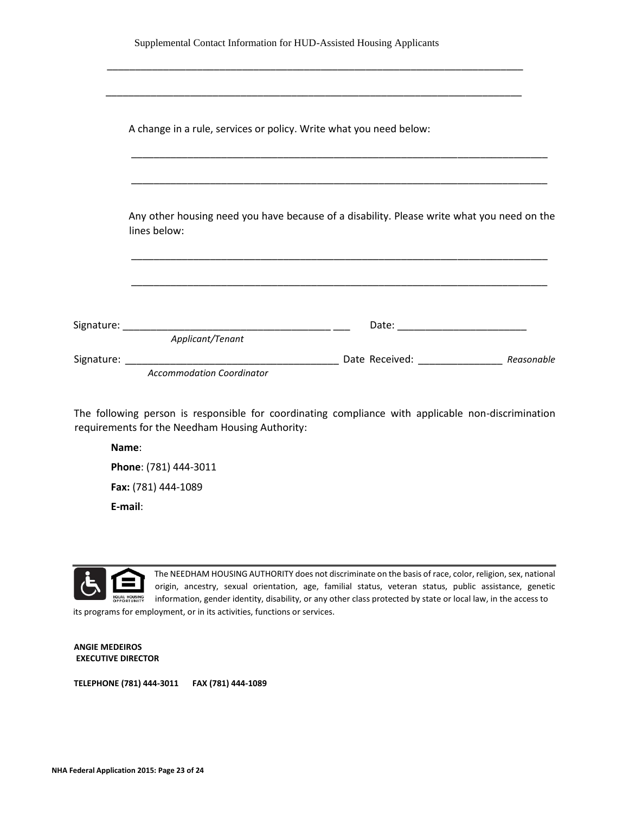| <u> 1989 - Johann John Harry Harry Harry Harry Harry Harry Harry Harry Harry Harry Harry Harry Harry Harry Harry</u>                                                                                                                |  |
|-------------------------------------------------------------------------------------------------------------------------------------------------------------------------------------------------------------------------------------|--|
| A change in a rule, services or policy. Write what you need below:                                                                                                                                                                  |  |
|                                                                                                                                                                                                                                     |  |
|                                                                                                                                                                                                                                     |  |
| Any other housing need you have because of a disability. Please write what you need on the<br>lines below:<br><u> 1989 - Johann Stoff, deutscher Stoff, der Stoff, der Stoff, der Stoff, der Stoff, der Stoff, der Stoff, der S</u> |  |
|                                                                                                                                                                                                                                     |  |
|                                                                                                                                                                                                                                     |  |
| Applicant/Tenant                                                                                                                                                                                                                    |  |
|                                                                                                                                                                                                                                     |  |

The following person is responsible for coordinating compliance with applicable non-discrimination requirements for the Needham Housing Authority:

**Name**: **Phone**: (781) 444-3011 **Fax:** (781) 444-1089 **E-mail**:



The NEEDHAM HOUSING AUTHORITY does not discriminate on the basis of race, color, religion, sex, national origin, ancestry, sexual orientation, age, familial status, veteran status, public assistance, genetic **EQUAL FOR THE INTERT IDENTIFY** information, gender identity, disability, or any other class protected by state or local law, in the access to its programs for employment, or in its activities, functions or services.

**ANGIE MEDEIROS EXECUTIVE DIRECTOR**

**TELEPHONE (781) 444-3011 FAX (781) 444-1089**